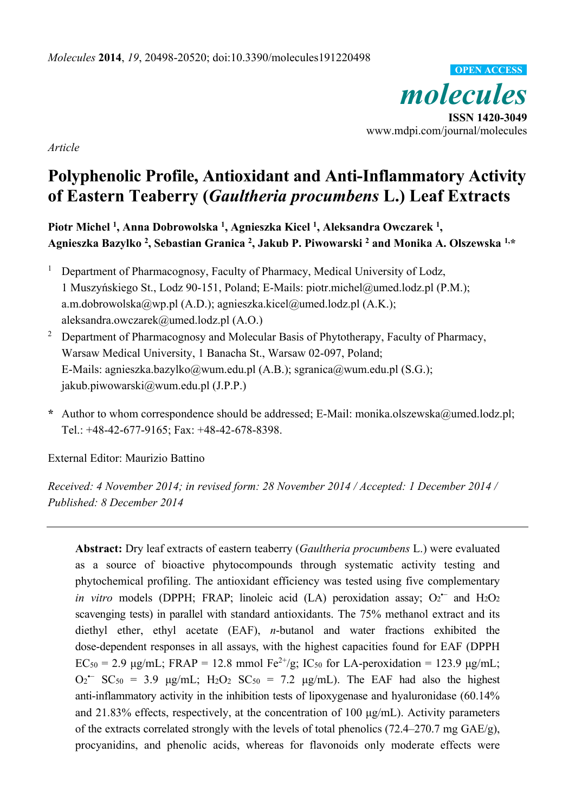*molecules*  **ISSN 1420-3049**  www.mdpi.com/journal/molecules **OPEN ACCESS**

*Article* 

# **Polyphenolic Profile, Antioxidant and Anti-Inflammatory Activity of Eastern Teaberry (***Gaultheria procumbens* **L.) Leaf Extracts**

**Piotr Michel 1, Anna Dobrowolska 1, Agnieszka Kicel 1, Aleksandra Owczarek 1, Agnieszka Bazylko 2 , Sebastian Granica 2 , Jakub P. Piwowarski 2 and Monika A. Olszewska 1,\*** 

- 1 Department of Pharmacognosy, Faculty of Pharmacy, Medical University of Lodz, 1 Muszyńskiego St., Lodz 90-151, Poland; E-Mails: piotr.michel@umed.lodz.pl (P.M.); a.m.dobrowolska@wp.pl (A.D.); agnieszka.kicel@umed.lodz.pl (A.K.); aleksandra.owczarek@umed.lodz.pl (A.O.)
- 2 Department of Pharmacognosy and Molecular Basis of Phytotherapy, Faculty of Pharmacy, Warsaw Medical University, 1 Banacha St., Warsaw 02-097, Poland; E-Mails: agnieszka.bazylko@wum.edu.pl (A.B.); sgranica@wum.edu.pl (S.G.); jakub.piwowarski@wum.edu.pl (J.P.P.)
- **\*** Author to whom correspondence should be addressed; E-Mail: monika.olszewska@umed.lodz.pl; Tel.: +48-42-677-9165; Fax: +48-42-678-8398.

External Editor: Maurizio Battino

*Received: 4 November 2014; in revised form: 28 November 2014 / Accepted: 1 December 2014 / Published: 8 December 2014* 

**Abstract:** Dry leaf extracts of eastern teaberry (*Gaultheria procumbens* L.) were evaluated as a source of bioactive phytocompounds through systematic activity testing and phytochemical profiling. The antioxidant efficiency was tested using five complementary *in vitro* models (DPPH; FRAP; linoleic acid (LA) peroxidation assay; O<sub>2</sub><sup>-</sup> and H<sub>2</sub>O<sub>2</sub> scavenging tests) in parallel with standard antioxidants. The 75% methanol extract and its diethyl ether, ethyl acetate (EAF), *n*-butanol and water fractions exhibited the dose-dependent responses in all assays, with the highest capacities found for EAF (DPPH  $EC_{50} = 2.9 \text{ µg/mL}; FRAP = 12.8 \text{ mmol } Fe^{2+}/g; IC_{50} \text{ for LA-peroxidation} = 123.9 \text{ µg/mL};$  $O_2$ <sup>--</sup> SC<sub>50</sub> = 3.9  $\mu$ g/mL; H<sub>2</sub>O<sub>2</sub> SC<sub>50</sub> = 7.2  $\mu$ g/mL). The EAF had also the highest anti-inflammatory activity in the inhibition tests of lipoxygenase and hyaluronidase (60.14% and 21.83% effects, respectively, at the concentration of 100 μg/mL). Activity parameters of the extracts correlated strongly with the levels of total phenolics (72.4–270.7 mg GAE/g), procyanidins, and phenolic acids, whereas for flavonoids only moderate effects were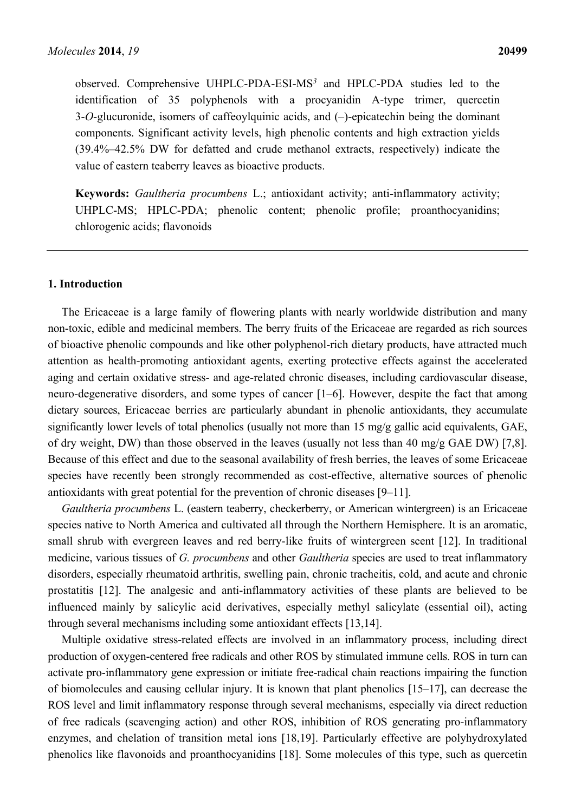observed. Comprehensive UHPLC-PDA-ESI-MS*<sup>3</sup>* and HPLC-PDA studies led to the identification of 35 polyphenols with a procyanidin A-type trimer, quercetin 3-*O*-glucuronide, isomers of caffeoylquinic acids, and (-)-epicatechin being the dominant components. Significant activity levels, high phenolic contents and high extraction yields (39.4%–42.5% DW for defatted and crude methanol extracts, respectively) indicate the value of eastern teaberry leaves as bioactive products.

**Keywords:** *Gaultheria procumbens* L.; antioxidant activity; anti-inflammatory activity; UHPLC-MS; HPLC-PDA; phenolic content; phenolic profile; proanthocyanidins; chlorogenic acids; flavonoids

#### **1. Introduction**

The Ericaceae is a large family of flowering plants with nearly worldwide distribution and many non-toxic, edible and medicinal members. The berry fruits of the Ericaceae are regarded as rich sources of bioactive phenolic compounds and like other polyphenol-rich dietary products, have attracted much attention as health-promoting antioxidant agents, exerting protective effects against the accelerated aging and certain oxidative stress- and age-related chronic diseases, including cardiovascular disease, neuro-degenerative disorders, and some types of cancer [1–6]. However, despite the fact that among dietary sources, Ericaceae berries are particularly abundant in phenolic antioxidants, they accumulate significantly lower levels of total phenolics (usually not more than 15 mg/g gallic acid equivalents, GAE, of dry weight, DW) than those observed in the leaves (usually not less than 40 mg/g GAE DW) [7,8]. Because of this effect and due to the seasonal availability of fresh berries, the leaves of some Ericaceae species have recently been strongly recommended as cost-effective, alternative sources of phenolic antioxidants with great potential for the prevention of chronic diseases [9–11].

*Gaultheria procumbens* L. (eastern teaberry, checkerberry, or American wintergreen) is an Ericaceae species native to North America and cultivated all through the Northern Hemisphere. It is an aromatic, small shrub with evergreen leaves and red berry-like fruits of wintergreen scent [12]. In traditional medicine, various tissues of *G. procumbens* and other *Gaultheria* species are used to treat inflammatory disorders, especially rheumatoid arthritis, swelling pain, chronic tracheitis, cold, and acute and chronic prostatitis [12]. The analgesic and anti-inflammatory activities of these plants are believed to be influenced mainly by salicylic acid derivatives, especially methyl salicylate (essential oil), acting through several mechanisms including some antioxidant effects [13,14].

Multiple oxidative stress-related effects are involved in an inflammatory process, including direct production of oxygen-centered free radicals and other ROS by stimulated immune cells. ROS in turn can activate pro-inflammatory gene expression or initiate free-radical chain reactions impairing the function of biomolecules and causing cellular injury. It is known that plant phenolics [15–17], can decrease the ROS level and limit inflammatory response through several mechanisms, especially via direct reduction of free radicals (scavenging action) and other ROS, inhibition of ROS generating pro-inflammatory enzymes, and chelation of transition metal ions [18,19]. Particularly effective are polyhydroxylated phenolics like flavonoids and proanthocyanidins [18]. Some molecules of this type, such as quercetin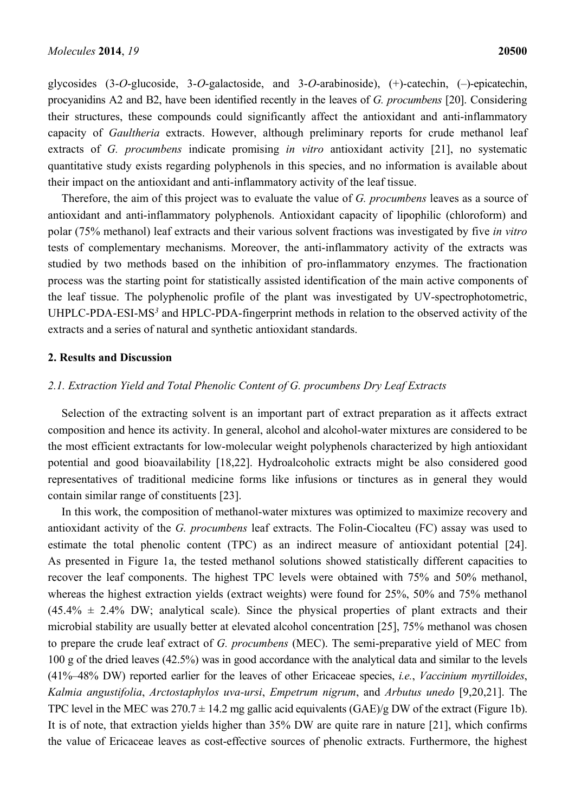glycosides (3-*O*-glucoside, 3-*O*-galactoside, and 3-*O*-arabinoside), (+)-catechin, (‒)-epicatechin, procyanidins A2 and B2, have been identified recently in the leaves of *G. procumbens* [20]. Considering their structures, these compounds could significantly affect the antioxidant and anti-inflammatory capacity of *Gaultheria* extracts. However, although preliminary reports for crude methanol leaf extracts of *G. procumbens* indicate promising *in vitro* antioxidant activity [21], no systematic quantitative study exists regarding polyphenols in this species, and no information is available about their impact on the antioxidant and anti-inflammatory activity of the leaf tissue.

Therefore, the aim of this project was to evaluate the value of *G. procumbens* leaves as a source of antioxidant and anti-inflammatory polyphenols. Antioxidant capacity of lipophilic (chloroform) and polar (75% methanol) leaf extracts and their various solvent fractions was investigated by five *in vitro* tests of complementary mechanisms. Moreover, the anti-inflammatory activity of the extracts was studied by two methods based on the inhibition of pro-inflammatory enzymes. The fractionation process was the starting point for statistically assisted identification of the main active components of the leaf tissue. The polyphenolic profile of the plant was investigated by UV-spectrophotometric, UHPLC-PDA-ESI-MS*<sup>3</sup>* and HPLC-PDA-fingerprint methods in relation to the observed activity of the extracts and a series of natural and synthetic antioxidant standards.

#### **2. Results and Discussion**

# *2.1. Extraction Yield and Total Phenolic Content of G. procumbens Dry Leaf Extracts*

Selection of the extracting solvent is an important part of extract preparation as it affects extract composition and hence its activity. In general, alcohol and alcohol-water mixtures are considered to be the most efficient extractants for low-molecular weight polyphenols characterized by high antioxidant potential and good bioavailability [18,22]. Hydroalcoholic extracts might be also considered good representatives of traditional medicine forms like infusions or tinctures as in general they would contain similar range of constituents [23].

In this work, the composition of methanol-water mixtures was optimized to maximize recovery and antioxidant activity of the *G. procumbens* leaf extracts. The Folin-Ciocalteu (FC) assay was used to estimate the total phenolic content (TPC) as an indirect measure of antioxidant potential [24]. As presented in Figure 1a, the tested methanol solutions showed statistically different capacities to recover the leaf components. The highest TPC levels were obtained with 75% and 50% methanol, whereas the highest extraction yields (extract weights) were found for 25%, 50% and 75% methanol  $(45.4\% \pm 2.4\% \text{ DW})$ ; analytical scale). Since the physical properties of plant extracts and their microbial stability are usually better at elevated alcohol concentration [25], 75% methanol was chosen to prepare the crude leaf extract of *G. procumbens* (MEC). The semi-preparative yield of MEC from 100 g of the dried leaves (42.5%) was in good accordance with the analytical data and similar to the levels (41%–48% DW) reported earlier for the leaves of other Ericaceae species, *i.e.*, *Vaccinium myrtilloides*, *Kalmia angustifolia*, *Arctostaphylos uva-ursi*, *Empetrum nigrum*, and *Arbutus unedo* [9,20,21]. The TPC level in the MEC was  $270.7 \pm 14.2$  mg gallic acid equivalents (GAE)/g DW of the extract (Figure 1b). It is of note, that extraction yields higher than 35% DW are quite rare in nature [21], which confirms the value of Ericaceae leaves as cost-effective sources of phenolic extracts. Furthermore, the highest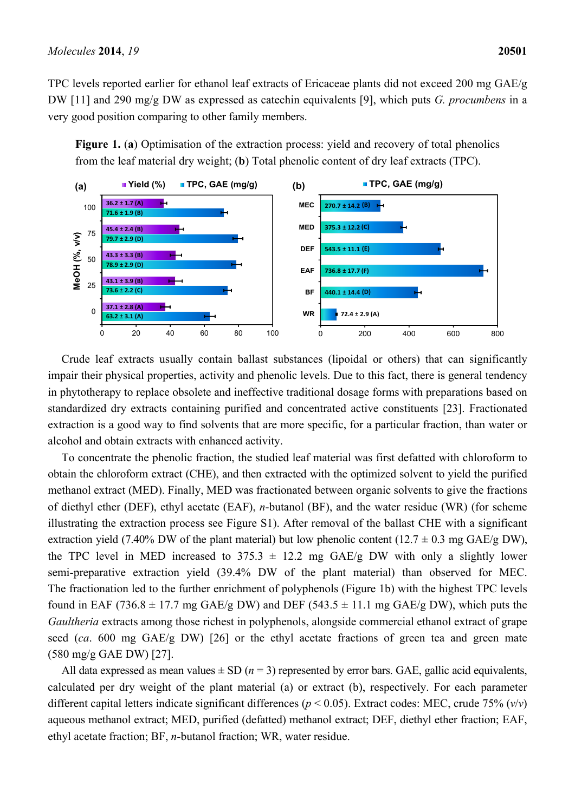TPC levels reported earlier for ethanol leaf extracts of Ericaceae plants did not exceed 200 mg GAE/g DW [11] and 290 mg/g DW as expressed as catechin equivalents [9], which puts *G. procumbens* in a very good position comparing to other family members.

**Figure 1.** (**a**) Optimisation of the extraction process: yield and recovery of total phenolics from the leaf material dry weight; (**b**) Total phenolic content of dry leaf extracts (TPC).



Crude leaf extracts usually contain ballast substances (lipoidal or others) that can significantly impair their physical properties, activity and phenolic levels. Due to this fact, there is general tendency in phytotherapy to replace obsolete and ineffective traditional dosage forms with preparations based on standardized dry extracts containing purified and concentrated active constituents [23]. Fractionated extraction is a good way to find solvents that are more specific, for a particular fraction, than water or alcohol and obtain extracts with enhanced activity.

To concentrate the phenolic fraction, the studied leaf material was first defatted with chloroform to obtain the chloroform extract (CHE), and then extracted with the optimized solvent to yield the purified methanol extract (MED). Finally, MED was fractionated between organic solvents to give the fractions of diethyl ether (DEF), ethyl acetate (EAF), *n*-butanol (BF), and the water residue (WR) (for scheme illustrating the extraction process see Figure S1). After removal of the ballast CHE with a significant extraction yield (7.40% DW of the plant material) but low phenolic content (12.7  $\pm$  0.3 mg GAE/g DW), the TPC level in MED increased to  $375.3 \pm 12.2$  mg GAE/g DW with only a slightly lower semi-preparative extraction yield (39.4% DW of the plant material) than observed for MEC. The fractionation led to the further enrichment of polyphenols (Figure 1b) with the highest TPC levels found in EAF (736.8  $\pm$  17.7 mg GAE/g DW) and DEF (543.5  $\pm$  11.1 mg GAE/g DW), which puts the *Gaultheria* extracts among those richest in polyphenols, alongside commercial ethanol extract of grape seed (*ca*. 600 mg GAE/g DW) [26] or the ethyl acetate fractions of green tea and green mate (580 mg/g GAE DW) [27].

All data expressed as mean values  $\pm$  SD ( $n = 3$ ) represented by error bars. GAE, gallic acid equivalents, calculated per dry weight of the plant material (a) or extract (b), respectively. For each parameter different capital letters indicate significant differences (*p* < 0.05). Extract codes: MEC, crude 75% (*v*/*v*) aqueous methanol extract; MED, purified (defatted) methanol extract; DEF, diethyl ether fraction; EAF, ethyl acetate fraction; BF, *n*-butanol fraction; WR, water residue.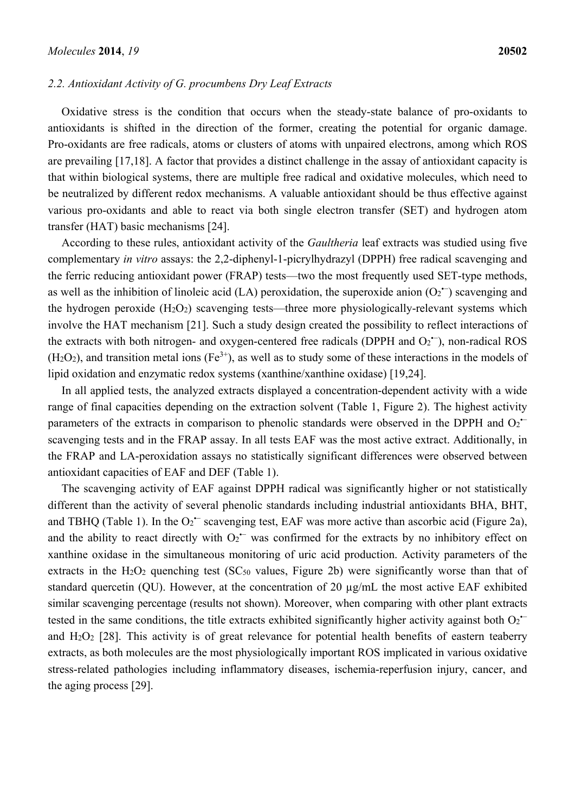#### *2.2. Antioxidant Activity of G. procumbens Dry Leaf Extracts*

Oxidative stress is the condition that occurs when the steady-state balance of pro-oxidants to antioxidants is shifted in the direction of the former, creating the potential for organic damage. Pro-oxidants are free radicals, atoms or clusters of atoms with unpaired electrons, among which ROS are prevailing [17,18]. A factor that provides a distinct challenge in the assay of antioxidant capacity is that within biological systems, there are multiple free radical and oxidative molecules, which need to be neutralized by different redox mechanisms. A valuable antioxidant should be thus effective against various pro-oxidants and able to react via both single electron transfer (SET) and hydrogen atom transfer (HAT) basic mechanisms [24].

According to these rules, antioxidant activity of the *Gaultheria* leaf extracts was studied using five complementary *in vitro* assays: the 2,2-diphenyl-1-picrylhydrazyl (DPPH) free radical scavenging and the ferric reducing antioxidant power (FRAP) tests—two the most frequently used SET-type methods, as well as the inhibition of linoleic acid (LA) peroxidation, the superoxide anion  $(O_2^-)$  scavenging and the hydrogen peroxide  $(H_2O_2)$  scavenging tests—three more physiologically-relevant systems which involve the HAT mechanism [21]. Such a study design created the possibility to reflect interactions of the extracts with both nitrogen- and oxygen-centered free radicals (DPPH and  $O_2^-$ ), non-radical ROS  $(H_2O_2)$ , and transition metal ions  $(Fe^{3+})$ , as well as to study some of these interactions in the models of lipid oxidation and enzymatic redox systems (xanthine/xanthine oxidase) [19,24].

In all applied tests, the analyzed extracts displayed a concentration-dependent activity with a wide range of final capacities depending on the extraction solvent (Table 1, Figure 2). The highest activity parameters of the extracts in comparison to phenolic standards were observed in the DPPH and  $O_2$ <sup> $-$ </sup> scavenging tests and in the FRAP assay. In all tests EAF was the most active extract. Additionally, in the FRAP and LA-peroxidation assays no statistically significant differences were observed between antioxidant capacities of EAF and DEF (Table 1).

The scavenging activity of EAF against DPPH radical was significantly higher or not statistically different than the activity of several phenolic standards including industrial antioxidants BHA, BHT, and TBHQ (Table 1). In the  $O_2$ <sup> $-$ </sup> scavenging test, EAF was more active than ascorbic acid (Figure 2a), and the ability to react directly with  $O_2$ <sup> $-$ </sup> was confirmed for the extracts by no inhibitory effect on xanthine oxidase in the simultaneous monitoring of uric acid production. Activity parameters of the extracts in the  $H_2O_2$  quenching test (SC<sub>50</sub> values, Figure 2b) were significantly worse than that of standard quercetin (QU). However, at the concentration of 20 µg/mL the most active EAF exhibited similar scavenging percentage (results not shown). Moreover, when comparing with other plant extracts tested in the same conditions, the title extracts exhibited significantly higher activity against both  $O_2$ <sup> $-$ </sup> and H2O2 [28]. This activity is of great relevance for potential health benefits of eastern teaberry extracts, as both molecules are the most physiologically important ROS implicated in various oxidative stress-related pathologies including inflammatory diseases, ischemia-reperfusion injury, cancer, and the aging process [29].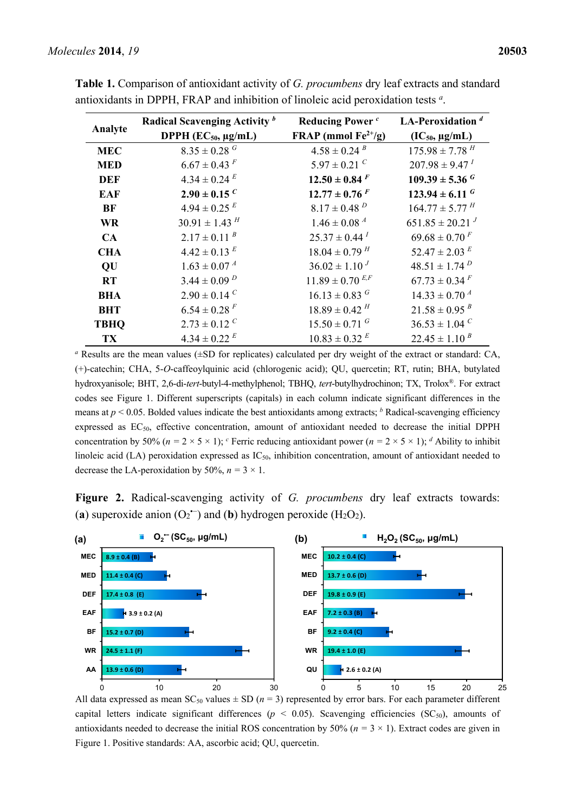| Analyte     | Radical Scavenging Activity b | <b>Reducing Power</b> <sup>c</sup> | LA-Peroxidation $d$            |
|-------------|-------------------------------|------------------------------------|--------------------------------|
|             | DPPH $(EC_{50}, \mu g/mL)$    | FRAP (mmol $Fe^{2+}/g$ )           | $(IC_{50}, \mu g/mL)$          |
| <b>MEC</b>  | $8.35 \pm 0.28$ <sup>G</sup>  | $4.58 \pm 0.24$ <sup>B</sup>       | $175.98 \pm 7.78$ $^H$         |
| <b>MED</b>  | $6.67 \pm 0.43$ <sup>F</sup>  | $5.97 \pm 0.21$ <sup>C</sup>       | $207.98 \pm 9.47^{\textit{T}}$ |
| <b>DEF</b>  | $4.34 \pm 0.24$ <sup>E</sup>  | $12.50 \pm 0.84$ F                 | $109.39 \pm 5.36$ <sup>G</sup> |
| <b>EAF</b>  | $2.90 \pm 0.15$ <sup>C</sup>  | $12.77 \pm 0.76$ F                 | $123.94 \pm 6.11$ <sup>G</sup> |
| <b>BF</b>   | $4.94 \pm 0.25$ <sup>E</sup>  | $8.17 \pm 0.48$ <sup>D</sup>       | $164.77 \pm 5.77$ <sup>H</sup> |
| <b>WR</b>   | $30.91 \pm 1.43$ <sup>H</sup> | $1.46 \pm 0.08$ <sup>A</sup>       | $651.85 \pm 20.21$             |
| CA          | $2.17 \pm 0.11^{B}$           | $25.37 \pm 0.44^{\textit{T}}$      | $69.68 \pm 0.70^F$             |
| <b>CHA</b>  | $4.42 \pm 0.13$ <sup>E</sup>  | $18.04 \pm 0.79$ <sup>H</sup>      | $52.47 \pm 2.03$ <sup>E</sup>  |
| QU          | $1.63 \pm 0.07^{\text{ A}}$   | $36.02 \pm 1.10^{J}$               | $48.51 \pm 1.74$ <sup>D</sup>  |
| <b>RT</b>   | $3.44 \pm 0.09$ <sup>D</sup>  | $11.89\pm0.70$ $^{E,F}$            | $67.73 \pm 0.34$ <sup>F</sup>  |
| <b>BHA</b>  | $2.90 \pm 0.14$ <sup>C</sup>  | $16.13 \pm 0.83$ <sup>G</sup>      | $14.33 \pm 0.70^{\text{ A}}$   |
| <b>BHT</b>  | $6.54 \pm 0.28$ <sup>F</sup>  | $18.89 \pm 0.42$ <sup>H</sup>      | $21.58 \pm 0.95$ <sup>B</sup>  |
| <b>TBHQ</b> | $2.73 \pm 0.12$ <sup>C</sup>  | $15.50 \pm 0.71$ <sup>G</sup>      | $36.53 \pm 1.04$ <sup>C</sup>  |
| TX          | $4.34 \pm 0.22$ <sup>E</sup>  | $10.83 \pm 0.32$ <sup>E</sup>      | $22.45 \pm 1.10^{B}$           |

**Table 1.** Comparison of antioxidant activity of *G. procumbens* dry leaf extracts and standard antioxidants in DPPH, FRAP and inhibition of linoleic acid peroxidation tests *<sup>a</sup>*.

*a* Results are the mean values  $(\pm SD)$  for replicates) calculated per dry weight of the extract or standard: CA, (+)-catechin; CHA, 5-*O*-caffeoylquinic acid (chlorogenic acid); QU, quercetin; RT, rutin; BHA, butylated hydroxyanisole; BHT, 2,6-di-*tert*-butyl-4-methylphenol; TBHQ, *tert*-butylhydrochinon; TX, Trolox®. For extract codes see Figure 1. Different superscripts (capitals) in each column indicate significant differences in the means at  $p \le 0.05$ . Bolded values indicate the best antioxidants among extracts; <sup>b</sup> Radical-scavenging efficiency expressed as EC<sub>50</sub>, effective concentration, amount of antioxidant needed to decrease the initial DPPH concentration by 50% ( $n = 2 \times 5 \times 1$ ); <sup>*c*</sup> Ferric reducing antioxidant power ( $n = 2 \times 5 \times 1$ ); *d* Ability to inhibit linoleic acid (LA) peroxidation expressed as IC50, inhibition concentration, amount of antioxidant needed to decrease the LA-peroxidation by 50%,  $n = 3 \times 1$ .

**Figure 2.** Radical-scavenging activity of *G. procumbens* dry leaf extracts towards: (a) superoxide anion  $(O_2^{\bullet})$  and (b) hydrogen peroxide (H<sub>2</sub>O<sub>2</sub>).



All data expressed as mean  $SC_{50}$  values  $\pm$  SD ( $n = 3$ ) represented by error bars. For each parameter different capital letters indicate significant differences ( $p < 0.05$ ). Scavenging efficiencies (SC<sub>50</sub>), amounts of antioxidants needed to decrease the initial ROS concentration by 50% ( $n = 3 \times 1$ ). Extract codes are given in Figure 1. Positive standards: AA, ascorbic acid; QU, quercetin.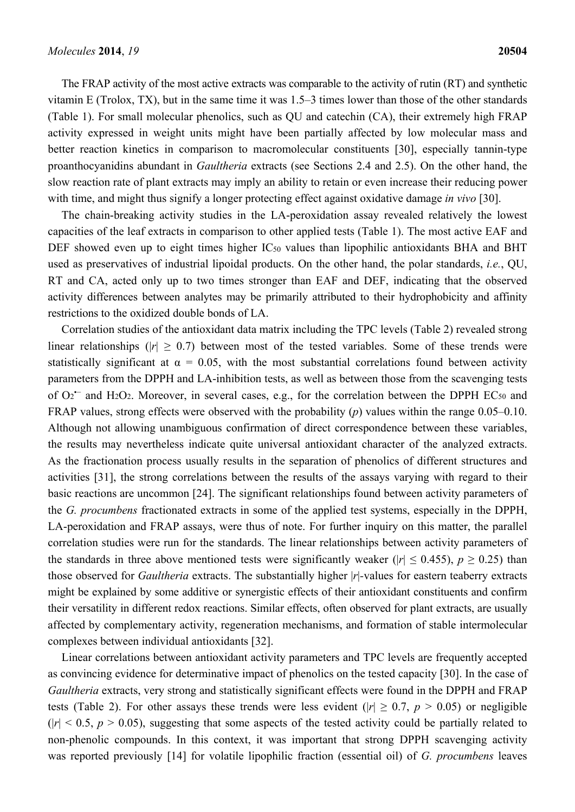The FRAP activity of the most active extracts was comparable to the activity of rutin (RT) and synthetic vitamin E (Trolox, TX), but in the same time it was 1.5–3 times lower than those of the other standards (Table 1). For small molecular phenolics, such as QU and catechin (CA), their extremely high FRAP activity expressed in weight units might have been partially affected by low molecular mass and better reaction kinetics in comparison to macromolecular constituents [30], especially tannin-type proanthocyanidins abundant in *Gaultheria* extracts (see Sections 2.4 and 2.5). On the other hand, the slow reaction rate of plant extracts may imply an ability to retain or even increase their reducing power with time, and might thus signify a longer protecting effect against oxidative damage *in vivo* [30].

The chain-breaking activity studies in the LA-peroxidation assay revealed relatively the lowest capacities of the leaf extracts in comparison to other applied tests (Table 1). The most active EAF and DEF showed even up to eight times higher IC<sub>50</sub> values than lipophilic antioxidants BHA and BHT used as preservatives of industrial lipoidal products. On the other hand, the polar standards, *i.e.*, QU, RT and CA, acted only up to two times stronger than EAF and DEF, indicating that the observed activity differences between analytes may be primarily attributed to their hydrophobicity and affinity restrictions to the oxidized double bonds of LA.

Correlation studies of the antioxidant data matrix including the TPC levels (Table 2) revealed strong linear relationships ( $|r| > 0.7$ ) between most of the tested variables. Some of these trends were statistically significant at  $\alpha = 0.05$ , with the most substantial correlations found between activity parameters from the DPPH and LA-inhibition tests, as well as between those from the scavenging tests of  $O_2$ <sup>--</sup> and H<sub>2</sub>O<sub>2</sub>. Moreover, in several cases, e.g., for the correlation between the DPPH EC<sub>50</sub> and FRAP values, strong effects were observed with the probability (*p*) values within the range 0.05–0.10. Although not allowing unambiguous confirmation of direct correspondence between these variables, the results may nevertheless indicate quite universal antioxidant character of the analyzed extracts. As the fractionation process usually results in the separation of phenolics of different structures and activities [31], the strong correlations between the results of the assays varying with regard to their basic reactions are uncommon [24]. The significant relationships found between activity parameters of the *G. procumbens* fractionated extracts in some of the applied test systems, especially in the DPPH, LA-peroxidation and FRAP assays, were thus of note. For further inquiry on this matter, the parallel correlation studies were run for the standards. The linear relationships between activity parameters of the standards in three above mentioned tests were significantly weaker ( $|r| \le 0.455$ ),  $p \ge 0.25$ ) than those observed for *Gaultheria* extracts. The substantially higher |*r*|*-*values for eastern teaberry extracts might be explained by some additive or synergistic effects of their antioxidant constituents and confirm their versatility in different redox reactions. Similar effects, often observed for plant extracts, are usually affected by complementary activity, regeneration mechanisms, and formation of stable intermolecular complexes between individual antioxidants [32].

Linear correlations between antioxidant activity parameters and TPC levels are frequently accepted as convincing evidence for determinative impact of phenolics on the tested capacity [30]. In the case of *Gaultheria* extracts, very strong and statistically significant effects were found in the DPPH and FRAP tests (Table 2). For other assays these trends were less evident ( $|r| \ge 0.7$ ,  $p > 0.05$ ) or negligible  $(|r| \le 0.5, p \ge 0.05)$ , suggesting that some aspects of the tested activity could be partially related to non-phenolic compounds. In this context, it was important that strong DPPH scavenging activity was reported previously [14] for volatile lipophilic fraction (essential oil) of *G. procumbens* leaves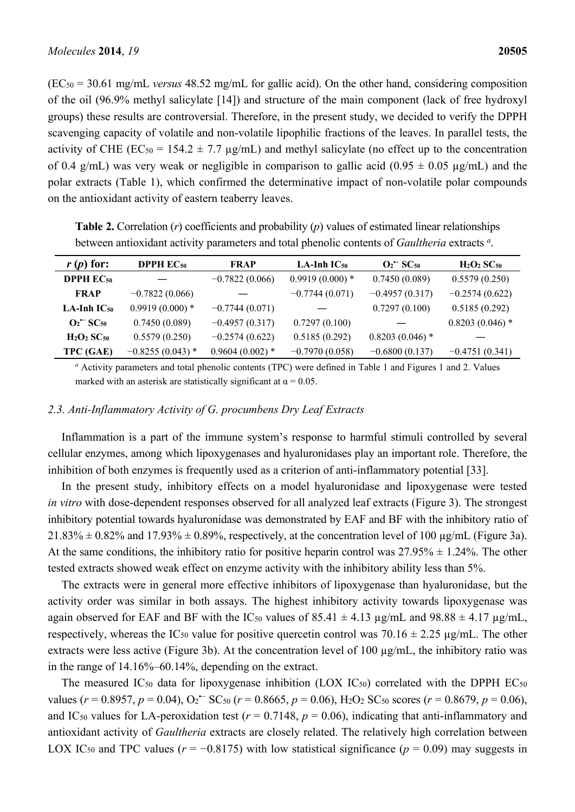(EC50 = 30.61 mg/mL *versus* 48.52 mg/mL for gallic acid). On the other hand, considering composition of the oil (96.9% methyl salicylate [14]) and structure of the main component (lack of free hydroxyl groups) these results are controversial. Therefore, in the present study, we decided to verify the DPPH scavenging capacity of volatile and non-volatile lipophilic fractions of the leaves. In parallel tests, the activity of CHE ( $EC_{50} = 154.2 \pm 7.7 \text{ µg/mL}$ ) and methyl salicylate (no effect up to the concentration of 0.4 g/mL) was very weak or negligible in comparison to gallic acid (0.95  $\pm$  0.05 µg/mL) and the polar extracts (Table 1), which confirmed the determinative impact of non-volatile polar compounds on the antioxidant activity of eastern teaberry leaves.

| $r(p)$ for:                         | <b>DPPH</b> $EC_{50}$ | <b>FRAP</b>       | $LA$ -Inh $IC_{50}$ | $O_2$ <sup>-</sup> SC <sub>50</sub> | $H2O2 SC50$       |
|-------------------------------------|-----------------------|-------------------|---------------------|-------------------------------------|-------------------|
| <b>DPPH</b> $EC_{50}$               |                       | $-0.7822(0.066)$  | $0.9919(0.000)*$    | 0.7450(0.089)                       | 0.5579(0.250)     |
| <b>FRAP</b>                         | $-0.7822(0.066)$      |                   | $-0.7744(0.071)$    | $-0.4957(0.317)$                    | $-0.2574(0.622)$  |
| LA-Inh $IC_{50}$                    | $0.9919(0.000)*$      | $-0.7744(0.071)$  |                     | 0.7297(0.100)                       | 0.5185(0.292)     |
| $O_2$ <sup>-</sup> SC <sub>50</sub> | 0.7450(0.089)         | $-0.4957(0.317)$  | 0.7297(0.100)       |                                     | $0.8203(0.046)$ * |
| $H2O2 SC50$                         | 0.5579(0.250)         | $-0.2574(0.622)$  | 0.5185(0.292)       | $0.8203(0.046)$ *                   |                   |
| TPC (GAE)                           | $-0.8255(0.043)$ *    | $0.9604(0.002)$ * | $-0.7970(0.058)$    | $-0.6800(0.137)$                    | $-0.4751(0.341)$  |

**Table 2.** Correlation (*r*) coefficients and probability (*p*) values of estimated linear relationships between antioxidant activity parameters and total phenolic contents of *Gaultheria* extracts *<sup>a</sup>* .

*a* Activity parameters and total phenolic contents (TPC) were defined in Table 1 and Figures 1 and 2. Values marked with an asterisk are statistically significant at  $\alpha = 0.05$ .

#### *2.3. Anti-Inflammatory Activity of G. procumbens Dry Leaf Extracts*

Inflammation is a part of the immune system's response to harmful stimuli controlled by several cellular enzymes, among which lipoxygenases and hyaluronidases play an important role. Therefore, the inhibition of both enzymes is frequently used as a criterion of anti-inflammatory potential [33].

In the present study, inhibitory effects on a model hyaluronidase and lipoxygenase were tested *in vitro* with dose-dependent responses observed for all analyzed leaf extracts (Figure 3). The strongest inhibitory potential towards hyaluronidase was demonstrated by EAF and BF with the inhibitory ratio of  $21.83\% \pm 0.82\%$  and  $17.93\% \pm 0.89\%$ , respectively, at the concentration level of 100  $\mu$ g/mL (Figure 3a). At the same conditions, the inhibitory ratio for positive heparin control was  $27.95\% \pm 1.24\%$ . The other tested extracts showed weak effect on enzyme activity with the inhibitory ability less than 5%.

The extracts were in general more effective inhibitors of lipoxygenase than hyaluronidase, but the activity order was similar in both assays. The highest inhibitory activity towards lipoxygenase was again observed for EAF and BF with the IC<sub>50</sub> values of  $85.41 \pm 4.13$  µg/mL and  $98.88 \pm 4.17$  µg/mL, respectively, whereas the IC<sub>50</sub> value for positive quercetin control was  $70.16 \pm 2.25$  µg/mL. The other extracts were less active (Figure 3b). At the concentration level of 100 µg/mL, the inhibitory ratio was in the range of 14.16%–60.14%, depending on the extract.

The measured IC<sub>50</sub> data for lipoxygenase inhibition (LOX IC<sub>50</sub>) correlated with the DPPH EC<sub>50</sub> values ( $r = 0.8957$ ,  $p = 0.04$ ),  $O_2$ <sup> $\sim$ </sup> SC<sub>50</sub> ( $r = 0.8665$ ,  $p = 0.06$ ), H<sub>2</sub>O<sub>2</sub> SC<sub>50</sub> scores ( $r = 0.8679$ ,  $p = 0.06$ ), and IC<sub>50</sub> values for LA-peroxidation test ( $r = 0.7148$ ,  $p = 0.06$ ), indicating that anti-inflammatory and antioxidant activity of *Gaultheria* extracts are closely related. The relatively high correlation between LOX IC<sub>50</sub> and TPC values ( $r = -0.8175$ ) with low statistical significance ( $p = 0.09$ ) may suggests in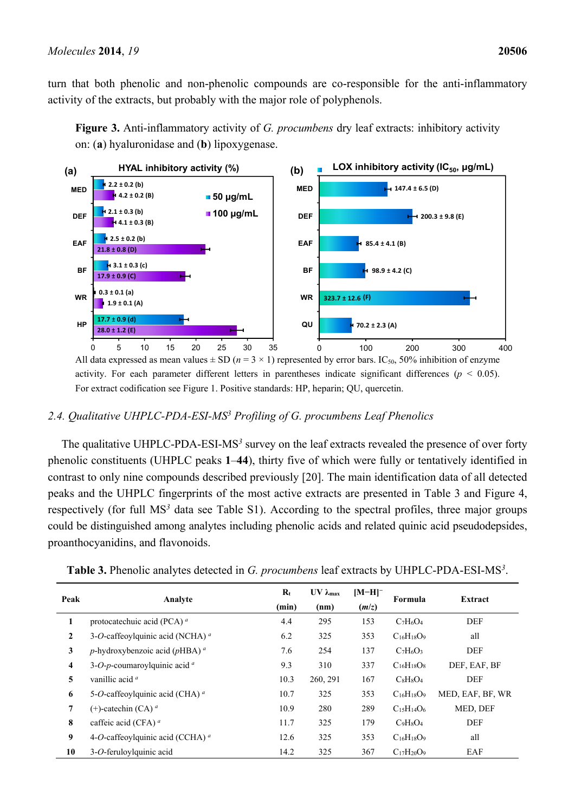turn that both phenolic and non-phenolic compounds are co-responsible for the anti-inflammatory activity of the extracts, but probably with the major role of polyphenols.





activity. For each parameter different letters in parentheses indicate significant differences (*p* < 0.05). For extract codification see Figure 1. Positive standards: HP, heparin; QU, quercetin.

# *2.4. Qualitative UHPLC-PDA-ESI-MS3 Profiling of G. procumbens Leaf Phenolics*

The qualitative UHPLC-PDA-ESI-MS*<sup>3</sup>* survey on the leaf extracts revealed the presence of over forty phenolic constituents (UHPLC peaks **1**–**44**), thirty five of which were fully or tentatively identified in contrast to only nine compounds described previously [20]. The main identification data of all detected peaks and the UHPLC fingerprints of the most active extracts are presented in Table 3 and Figure 4, respectively (for full MS*<sup>3</sup>* data see Table S1). According to the spectral profiles, three major groups could be distinguished among analytes including phenolic acids and related quinic acid pseudodepsides, proanthocyanidins, and flavonoids.

| Peak         | Analyte                                                 | $\mathbf{R}_{t}$<br>(min) | $UV \lambda_{max}$<br>(nm) | $[M-H]$ <sup>-</sup><br>(m/z) | Formula           | Extract          |
|--------------|---------------------------------------------------------|---------------------------|----------------------------|-------------------------------|-------------------|------------------|
| 1            | protocatechuic acid (PCA) <sup>a</sup>                  | 4.4                       | 295                        | 153                           | $C_7H_6O_4$       | <b>DEF</b>       |
| $\mathbf{2}$ | 3-O-caffeoylquinic acid (NCHA) <sup>a</sup>             | 6.2                       | 325                        | 353                           | $C_{16}H_{18}O_9$ | all              |
| 3            | $p$ -hydroxybenzoic acid ( $p$ HBA) <sup><i>a</i></sup> | 7.6                       | 254                        | 137                           | $C_7H_6O_3$       | <b>DEF</b>       |
| 4            | 3-O-p-coumaroylquinic acid $a$                          | 9.3                       | 310                        | 337                           | $C_{16}H_{18}O_8$ | DEF, EAF, BF     |
| 5            | vanillic acid <sup>a</sup>                              | 10.3                      | 260, 291                   | 167                           | $C_8H_8O_4$       | <b>DEF</b>       |
| 6            | 5-O-caffeoylquinic acid (CHA) <sup>a</sup>              | 10.7                      | 325                        | 353                           | $C_{16}H_{18}O_9$ | MED, EAF, BF, WR |
| 7            | $(+)$ -catechin (CA) <sup>a</sup>                       | 10.9                      | 280                        | 289                           | $C_{15}H_{14}O_6$ | MED, DEF         |
| 8            | caffeic acid (CFA) <sup>a</sup>                         | 11.7                      | 325                        | 179                           | $C_9H_8O_4$       | <b>DEF</b>       |
| 9            | 4-O-caffeoylquinic acid (CCHA) $^a$                     | 12.6                      | 325                        | 353                           | $C_{16}H_{18}O_9$ | all              |
| 10           | 3-O-feruloylquinic acid                                 | 14.2                      | 325                        | 367                           | $C_{17}H_{20}O_9$ | EAF              |

| Table 3. Phenolic analytes detected in G. procumbens leaf extracts by UHPLC-PDA-ESI-MS <sup>3</sup> . |  |  |
|-------------------------------------------------------------------------------------------------------|--|--|
|-------------------------------------------------------------------------------------------------------|--|--|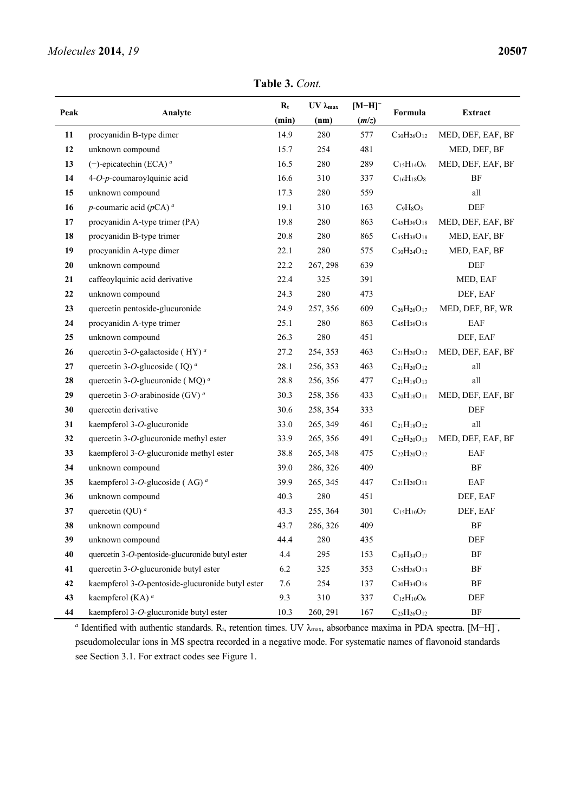**Table 3.** *Cont.*

| Peak     | Analyte                                                | $\mathbf{R}_{t}$ | $UV \lambda_{max}$ | $[M-H]$ <sup>-</sup> |                      | Extract           |
|----------|--------------------------------------------------------|------------------|--------------------|----------------------|----------------------|-------------------|
|          |                                                        | (min)            | (nm)               | (m/z)                | Formula              |                   |
| 11       | procyanidin B-type dimer                               | 14.9             | 280                | 577                  | $C_{30}H_{26}O_{12}$ | MED, DEF, EAF, BF |
| 12       | unknown compound                                       | 15.7             | 254                | 481                  |                      | MED, DEF, BF      |
| 13       | $(-)$ -epicatechin (ECA) <sup>a</sup>                  | 16.5             | 280                | 289                  | $C_{15}H_{14}O_6$    | MED, DEF, EAF, BF |
| 14       | 4-O-p-coumaroylquinic acid                             | 16.6             | 310                | 337                  | $C_{16}H_{18}O_8$    | BF                |
| 15       | unknown compound                                       | 17.3             | 280                | 559                  |                      | all               |
| 16       | <i>p</i> -coumaric acid ( $pCA$ ) <sup><i>a</i></sup>  | 19.1             | 310                | 163                  | $C_9H_8O_3$          | DEF               |
| 17       | procyanidin A-type trimer (PA)                         | 19.8             | 280                | 863                  | $C_{45}H_{36}O_{18}$ | MED, DEF, EAF, BF |
| 18       | procyanidin B-type trimer                              | 20.8             | 280                | 865                  | $C_{45}H_{38}O_{18}$ | MED, EAF, BF      |
| 19       | procyanidin A-type dimer                               | 22.1             | 280                | 575                  | $C_{30}H_{24}O_{12}$ | MED, EAF, BF      |
| $20\,$   | unknown compound                                       | 22.2             | 267, 298           | 639                  |                      | DEF               |
| 21       | caffeoylquinic acid derivative                         | 22.4             | 325                | 391                  |                      | MED, EAF          |
| 22       | unknown compound                                       | 24.3             | 280                | 473                  |                      | DEF, EAF          |
| 23       | quercetin pentoside-glucuronide                        | 24.9             | 257, 356           | 609                  | $C_{26}H_{26}O_{17}$ | MED, DEF, BF, WR  |
| 24       | procyanidin A-type trimer                              | 25.1             | 280                | 863                  | $C_{45}H_{36}O_{18}$ | EAF               |
| 25       | unknown compound                                       | 26.3             | 280                | 451                  |                      | DEF, EAF          |
| 26       | quercetin 3-O-galactoside (HY) <sup>a</sup>            | 27.2             | 254, 353           | 463                  | $C_{21}H_{20}O_{12}$ | MED, DEF, EAF, BF |
| $\bf 27$ | quercetin 3-O-glucoside (IQ) <sup><math>a</math></sup> | 28.1             | 256, 353           | 463                  | $C_{21}H_{20}O_{12}$ | all               |
| 28       | quercetin 3-O-glucuronide (MQ) <sup>a</sup>            | 28.8             | 256, 356           | 477                  | $C_{21}H_{18}O_{13}$ | all               |
| 29       | quercetin 3-O-arabinoside (GV) $^a$                    | 30.3             | 258, 356           | 433                  | $C_{20}H_{18}O_{11}$ | MED, DEF, EAF, BF |
| 30       | quercetin derivative                                   | 30.6             | 258, 354           | 333                  |                      | DEF               |
| 31       | kaempferol 3-O-glucuronide                             | 33.0             | 265, 349           | 461                  | $C_{21}H_{18}O_{12}$ | all               |
| 32       | quercetin 3-O-glucuronide methyl ester                 | 33.9             | 265, 356           | 491                  | $C_{22}H_{20}O_{13}$ | MED, DEF, EAF, BF |
| 33       | kaempferol 3-O-glucuronide methyl ester                | 38.8             | 265, 348           | 475                  | $C_{22}H_{20}O_{12}$ | EAF               |
| 34       | unknown compound                                       | 39.0             | 286, 326           | 409                  |                      | BF                |
| 35       | kaempferol 3-O-glucoside (AG) <sup>a</sup>             | 39.9             | 265, 345           | 447                  | $C_{21}H_{20}O_{11}$ | EAF               |
| 36       | unknown compound                                       | 40.3             | 280                | 451                  |                      | DEF, EAF          |
| 37       | quercetin (QU) $^a$                                    | 43.3             | 255, 364           | 301                  | $C_{15}H_{10}O_7$    | DEF, EAF          |
| 38       | unknown compound                                       | 43.7             | 286, 326           | 409                  |                      | $\rm{BF}$         |
| 39       | unknown compound                                       | 44.4             | 280                | 435                  |                      | DEF               |
| 40       | quercetin 3-O-pentoside-glucuronide butyl ester        | 4.4              | 295                | 153                  | $C_{30}H_{34}O_{17}$ | $\rm{BF}$         |
| 41       | quercetin 3-O-glucuronide butyl ester                  | 6.2              | 325                | 353                  | $C_{25}H_{26}O_{13}$ | $\rm{BF}$         |
| 42       | kaempferol 3-O-pentoside-glucuronide butyl ester       | 7.6              | 254                | 137                  | $C_{30}H_{34}O_{16}$ | $\rm{BF}$         |
| 43       | kaempferol (KA) <sup>a</sup>                           | 9.3              | 310                | 337                  | $C_{15}H_{10}O_6$    | DEF               |
| 44       | kaempferol 3-O-glucuronide butyl ester                 | 10.3             | 260, 291           | 167                  | $C_{25}H_{26}O_{12}$ | $\rm{BF}$         |

<sup>a</sup> Identified with authentic standards. R<sub>t</sub>, retention times. UV λ<sub>max</sub>, absorbance maxima in PDA spectra. [M−H]<sup>-</sup>, pseudomolecular ions in MS spectra recorded in a negative mode. For systematic names of flavonoid standards see Section 3.1. For extract codes see Figure 1.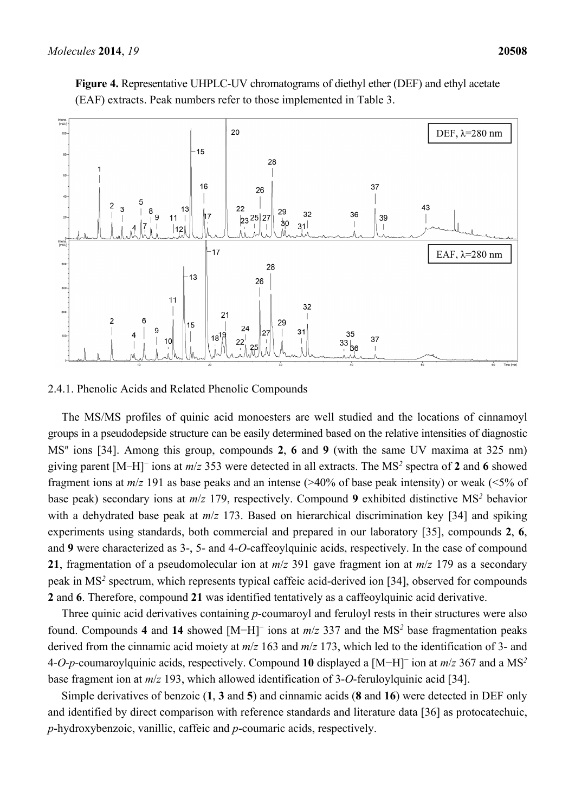

**Figure 4.** Representative UHPLC-UV chromatograms of diethyl ether (DEF) and ethyl acetate (EAF) extracts. Peak numbers refer to those implemented in Table 3.

# 2.4.1. Phenolic Acids and Related Phenolic Compounds

The MS/MS profiles of quinic acid monoesters are well studied and the locations of cinnamoyl groups in a pseudodepside structure can be easily determined based on the relative intensities of diagnostic MS*<sup>n</sup>* ions [34]. Among this group, compounds **2**, **6** and **9** (with the same UV maxima at 325 nm) giving parent [M−H]<sup>−</sup> ions at *m*/*z* 353 were detected in all extracts. The MS<sup>2</sup> spectra of 2 and 6 showed fragment ions at *m*/*z* 191 as base peaks and an intense (>40% of base peak intensity) or weak (<5% of base peak) secondary ions at *m*/*z* 179, respectively. Compound **9** exhibited distinctive MS*<sup>2</sup>* behavior with a dehydrated base peak at *m*/*z* 173. Based on hierarchical discrimination key [34] and spiking experiments using standards, both commercial and prepared in our laboratory [35], compounds **2**, **6**, and **9** were characterized as 3-, 5- and 4-*O*-caffeoylquinic acids, respectively. In the case of compound **21**, fragmentation of a pseudomolecular ion at *m*/*z* 391 gave fragment ion at *m*/*z* 179 as a secondary peak in MS<sup>2</sup> spectrum, which represents typical caffeic acid-derived ion [34], observed for compounds **2** and **6**. Therefore, compound **21** was identified tentatively as a caffeoylquinic acid derivative.

Three quinic acid derivatives containing *p*-coumaroyl and feruloyl rests in their structures were also found. Compounds **4** and **14** showed [M−H]<sup>−</sup> ions at *m*/*z* 337 and the MS*<sup>2</sup>* base fragmentation peaks derived from the cinnamic acid moiety at *m*/*z* 163 and *m*/*z* 173, which led to the identification of 3- and 4-*O*-*p*-coumaroylquinic acids, respectively. Compound **10** displayed a [M−H]<sup>−</sup> ion at *m*/*z* 367 and a MS*<sup>2</sup>* base fragment ion at *m*/*z* 193, which allowed identification of 3-*O*-feruloylquinic acid [34].

Simple derivatives of benzoic (**1**, **3** and **5**) and cinnamic acids (**8** and **16**) were detected in DEF only and identified by direct comparison with reference standards and literature data [36] as protocatechuic, *p*-hydroxybenzoic, vanillic, caffeic and *p*-coumaric acids, respectively.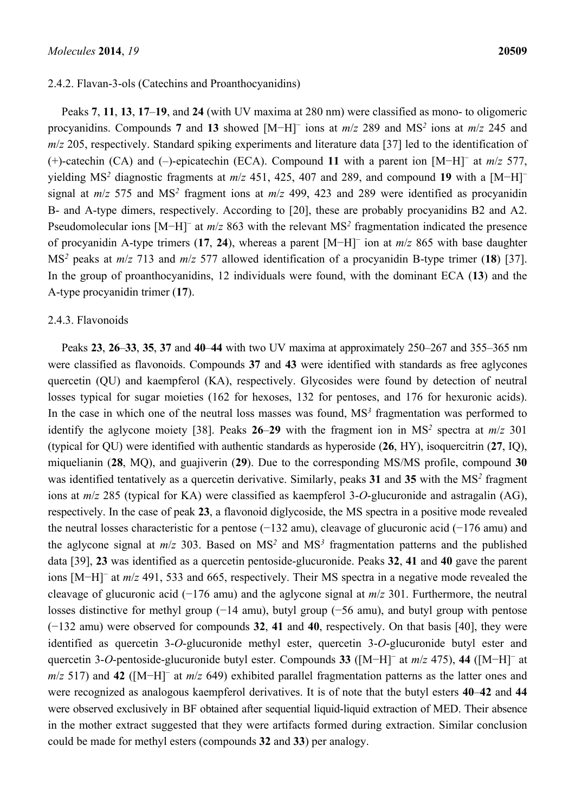# 2.4.2. Flavan-3-ols (Catechins and Proanthocyanidins)

Peaks **7**, **11**, **13**, **17**–**19**, and **24** (with UV maxima at 280 nm) were classified as mono- to oligomeric procyanidins. Compounds **7** and **13** showed [M−H]<sup>−</sup> ions at *m*/*z* 289 and MS*<sup>2</sup>* ions at *m*/*z* 245 and *m/z* 205, respectively. Standard spiking experiments and literature data [37] led to the identification of (+)-catechin (CA) and (‒)-epicatechin (ECA). Compound **11** with a parent ion [M−H]<sup>−</sup> at *m*/*z* 577, yielding MS<sup>2</sup> diagnostic fragments at *m/z* 451, 425, 407 and 289, and compound 19 with a [M−H]<sup>-</sup> signal at *m*/*z* 575 and MS*<sup>2</sup>* fragment ions at *m*/*z* 499, 423 and 289 were identified as procyanidin B- and A-type dimers, respectively. According to [20], these are probably procyanidins B2 and A2. Pseudomolecular ions [M−H]<sup>-</sup> at *m/z* 863 with the relevant MS<sup>2</sup> fragmentation indicated the presence of procyanidin A-type trimers (**17**, **24**), whereas a parent [M−H]<sup>−</sup> ion at *m*/*z* 865 with base daughter MS*<sup>2</sup>* peaks at *m*/*z* 713 and *m*/*z* 577 allowed identification of a procyanidin B-type trimer (**18**) [37]. In the group of proanthocyanidins, 12 individuals were found, with the dominant ECA (**13**) and the A-type procyanidin trimer (**17**).

#### 2.4.3. Flavonoids

Peaks **23**, **26**–**33**, **35**, **37** and **40**–**44** with two UV maxima at approximately 250–267 and 355–365 nm were classified as flavonoids. Compounds **37** and **43** were identified with standards as free aglycones quercetin (QU) and kaempferol (KA), respectively. Glycosides were found by detection of neutral losses typical for sugar moieties (162 for hexoses, 132 for pentoses, and 176 for hexuronic acids). In the case in which one of the neutral loss masses was found, MS<sup>3</sup> fragmentation was performed to identify the aglycone moiety [38]. Peaks  $26-29$  with the fragment ion in MS<sup>2</sup> spectra at  $m/z$  301 (typical for QU) were identified with authentic standards as hyperoside (**26**, HY), isoquercitrin (**27**, IQ), miquelianin (**28**, MQ), and guajiverin (**29**). Due to the corresponding MS/MS profile, compound **30** was identified tentatively as a quercetin derivative. Similarly, peaks **31** and **35** with the MS*<sup>2</sup>* fragment ions at *m*/*z* 285 (typical for KA) were classified as kaempferol 3-*O*-glucuronide and astragalin (AG), respectively. In the case of peak **23**, a flavonoid diglycoside, the MS spectra in a positive mode revealed the neutral losses characteristic for a pentose (−132 amu), cleavage of glucuronic acid (−176 amu) and the aglycone signal at  $m/z$  303. Based on  $MS<sup>2</sup>$  and  $MS<sup>3</sup>$  fragmentation patterns and the published data [39], **23** was identified as a quercetin pentoside-glucuronide. Peaks **32**, **41** and **40** gave the parent ions [M−H]<sup>−</sup> at *m*/*z* 491, 533 and 665, respectively. Their MS spectra in a negative mode revealed the cleavage of glucuronic acid (−176 amu) and the aglycone signal at *m*/*z* 301. Furthermore, the neutral losses distinctive for methyl group (−14 amu), butyl group (−56 amu), and butyl group with pentose (−132 amu) were observed for compounds **32**, **41** and **40**, respectively. On that basis [40], they were identified as quercetin 3-*O*-glucuronide methyl ester, quercetin 3-*O*-glucuronide butyl ester and quercetin 3-*O*-pentoside-glucuronide butyl ester. Compounds **33** ([M−H]<sup>−</sup> at *m*/*z* 475), **44** ([M−H]<sup>−</sup> at *m*/*z* 517) and **42** ([M−H]<sup>−</sup> at *m*/*z* 649) exhibited parallel fragmentation patterns as the latter ones and were recognized as analogous kaempferol derivatives. It is of note that the butyl esters **40**–**42** and **44** were observed exclusively in BF obtained after sequential liquid-liquid extraction of MED. Their absence in the mother extract suggested that they were artifacts formed during extraction. Similar conclusion could be made for methyl esters (compounds **32** and **33**) per analogy.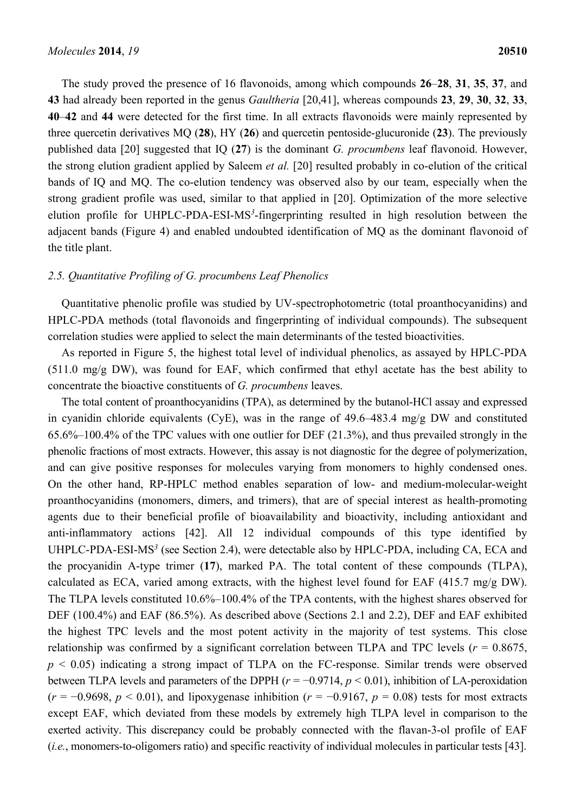The study proved the presence of 16 flavonoids, among which compounds **26**–**28**, **31**, **35**, **37**, and **43** had already been reported in the genus *Gaultheria* [20,41], whereas compounds **23**, **29**, **30**, **32**, **33**, **40**–**42** and **44** were detected for the first time. In all extracts flavonoids were mainly represented by three quercetin derivatives MQ (**28**), HY (**26**) and quercetin pentoside-glucuronide (**23**). The previously published data [20] suggested that IQ (**27**) is the dominant *G. procumbens* leaf flavonoid. However, the strong elution gradient applied by Saleem *et al.* [20] resulted probably in co-elution of the critical bands of IQ and MQ. The co-elution tendency was observed also by our team, especially when the strong gradient profile was used, similar to that applied in [20]. Optimization of the more selective elution profile for UHPLC-PDA-ESI-MS<sup>3</sup>-fingerprinting resulted in high resolution between the adjacent bands (Figure 4) and enabled undoubted identification of MQ as the dominant flavonoid of the title plant.

# *2.5. Quantitative Profiling of G. procumbens Leaf Phenolics*

Quantitative phenolic profile was studied by UV-spectrophotometric (total proanthocyanidins) and HPLC-PDA methods (total flavonoids and fingerprinting of individual compounds). The subsequent correlation studies were applied to select the main determinants of the tested bioactivities.

As reported in Figure 5, the highest total level of individual phenolics, as assayed by HPLC-PDA (511.0 mg/g DW), was found for EAF, which confirmed that ethyl acetate has the best ability to concentrate the bioactive constituents of *G. procumbens* leaves.

The total content of proanthocyanidins (TPA), as determined by the butanol-HCl assay and expressed in cyanidin chloride equivalents (CyE), was in the range of 49.6–483.4 mg/g DW and constituted 65.6%–100.4% of the TPC values with one outlier for DEF (21.3%), and thus prevailed strongly in the phenolic fractions of most extracts. However, this assay is not diagnostic for the degree of polymerization, and can give positive responses for molecules varying from monomers to highly condensed ones. On the other hand, RP-HPLC method enables separation of low- and medium-molecular-weight proanthocyanidins (monomers, dimers, and trimers), that are of special interest as health-promoting agents due to their beneficial profile of bioavailability and bioactivity, including antioxidant and anti-inflammatory actions [42]. All 12 individual compounds of this type identified by UHPLC-PDA-ESI-MS<sup>3</sup> (see Section 2.4), were detectable also by HPLC-PDA, including CA, ECA and the procyanidin A-type trimer (**17**), marked PA. The total content of these compounds (TLPA), calculated as ECA, varied among extracts, with the highest level found for EAF (415.7 mg/g DW). The TLPA levels constituted 10.6%–100.4% of the TPA contents, with the highest shares observed for DEF (100.4%) and EAF (86.5%). As described above (Sections 2.1 and 2.2), DEF and EAF exhibited the highest TPC levels and the most potent activity in the majority of test systems. This close relationship was confirmed by a significant correlation between TLPA and TPC levels ( $r = 0.8675$ ).  $p < 0.05$ ) indicating a strong impact of TLPA on the FC-response. Similar trends were observed between TLPA levels and parameters of the DPPH ( $r = -0.9714$ ,  $p < 0.01$ ), inhibition of LA-peroxidation  $(r = -0.9698, p \le 0.01)$ , and lipoxygenase inhibition  $(r = -0.9167, p = 0.08)$  tests for most extracts except EAF, which deviated from these models by extremely high TLPA level in comparison to the exerted activity. This discrepancy could be probably connected with the flavan-3-ol profile of EAF (*i.e.*, monomers-to-oligomers ratio) and specific reactivity of individual molecules in particular tests [43].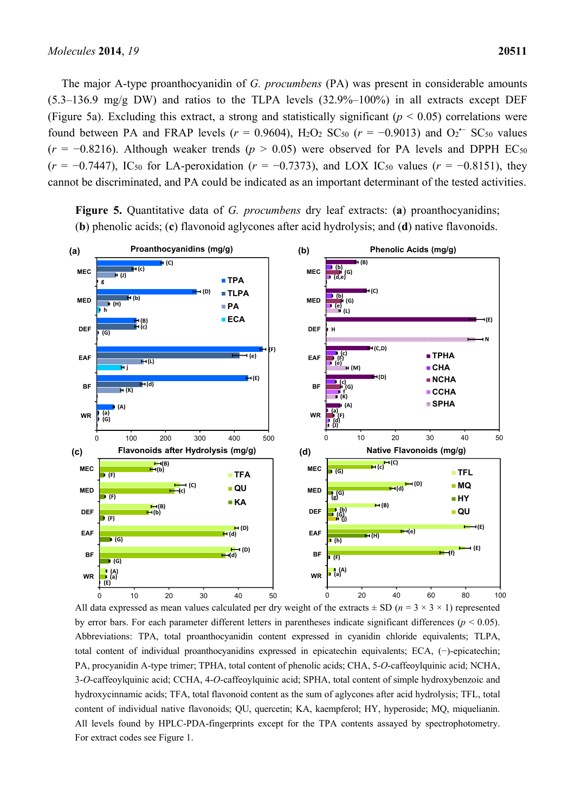The major A-type proanthocyanidin of *G. procumbens* (PA) was present in considerable amounts  $(5.3-136.9 \text{ mg/g DW})$  and ratios to the TLPA levels  $(32.9\% - 100\%)$  in all extracts except DEF (Figure 5a). Excluding this extract, a strong and statistically significant ( $p < 0.05$ ) correlations were found between PA and FRAP levels ( $r = 0.9604$ ), H<sub>2</sub>O<sub>2</sub> SC<sub>50</sub> ( $r = -0.9013$ ) and O<sub>2</sub><sup> $-$ </sup> SC<sub>50</sub> values  $(r = -0.8216)$ . Although weaker trends ( $p > 0.05$ ) were observed for PA levels and DPPH EC<sub>50</sub>  $(r = -0.7447)$ , IC<sub>50</sub> for LA-peroxidation ( $r = -0.7373$ ), and LOX IC<sub>50</sub> values ( $r = -0.8151$ ), they cannot be discriminated, and PA could be indicated as an important determinant of the tested activities.



**Figure 5.** Quantitative data of *G. procumbens* dry leaf extracts: (**a**) proanthocyanidins; (**b**) phenolic acids; (**c**) flavonoid aglycones after acid hydrolysis; and (**d**) native flavonoids.

All data expressed as mean values calculated per dry weight of the extracts  $\pm$  SD ( $n = 3 \times 3 \times 1$ ) represented by error bars. For each parameter different letters in parentheses indicate significant differences (*p* < 0.05). Abbreviations: TPA, total proanthocyanidin content expressed in cyanidin chloride equivalents; TLPA, total content of individual proanthocyanidins expressed in epicatechin equivalents; ECA, (−)-epicatechin; PA, procyanidin A-type trimer; TPHA, total content of phenolic acids; CHA, 5-*O*-caffeoylquinic acid; NCHA, 3-*O*-caffeoylquinic acid; CCHA, 4-*O*-caffeoylquinic acid; SPHA, total content of simple hydroxybenzoic and hydroxycinnamic acids; TFA, total flavonoid content as the sum of aglycones after acid hydrolysis; TFL, total content of individual native flavonoids; QU, quercetin; KA, kaempferol; HY, hyperoside; MQ, miquelianin. All levels found by HPLC-PDA-fingerprints except for the TPA contents assayed by spectrophotometry. For extract codes see Figure 1.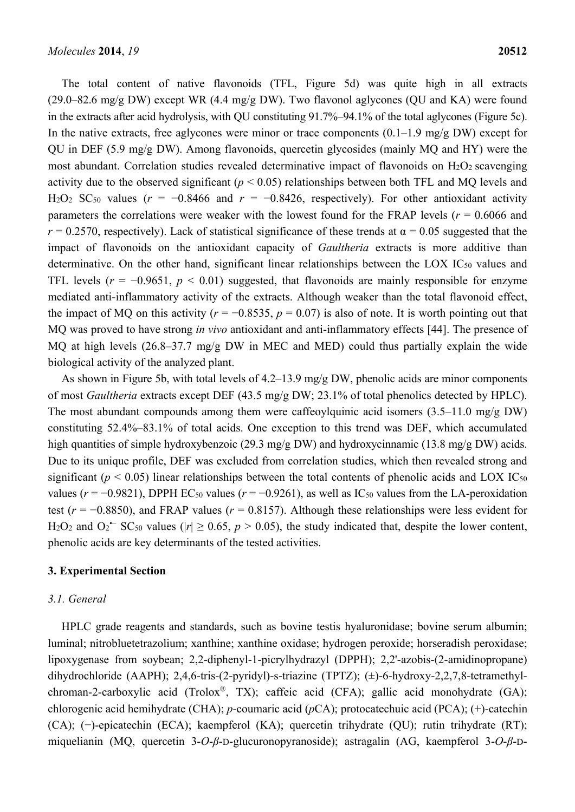The total content of native flavonoids (TFL, Figure 5d) was quite high in all extracts (29.0–82.6 mg/g DW) except WR (4.4 mg/g DW). Two flavonol aglycones (QU and KA) were found in the extracts after acid hydrolysis, with QU constituting 91.7%–94.1% of the total aglycones (Figure 5c). In the native extracts, free aglycones were minor or trace components  $(0.1-1.9 \text{ mg/g DW})$  except for QU in DEF (5.9 mg/g DW). Among flavonoids, quercetin glycosides (mainly MQ and HY) were the most abundant. Correlation studies revealed determinative impact of flavonoids on  $H_2O_2$  scavenging activity due to the observed significant (*p* < 0.05) relationships between both TFL and MQ levels and H<sub>2</sub>O<sub>2</sub> SC<sub>50</sub> values ( $r = -0.8466$  and  $r = -0.8426$ , respectively). For other antioxidant activity parameters the correlations were weaker with the lowest found for the FRAP levels ( $r = 0.6066$  and  $r = 0.2570$ , respectively). Lack of statistical significance of these trends at  $\alpha = 0.05$  suggested that the impact of flavonoids on the antioxidant capacity of *Gaultheria* extracts is more additive than determinative. On the other hand, significant linear relationships between the LOX IC<sub>50</sub> values and TFL levels ( $r = -0.9651$ ,  $p < 0.01$ ) suggested, that flavonoids are mainly responsible for enzyme mediated anti-inflammatory activity of the extracts. Although weaker than the total flavonoid effect, the impact of MQ on this activity ( $r = -0.8535$ ,  $p = 0.07$ ) is also of note. It is worth pointing out that MQ was proved to have strong *in vivo* antioxidant and anti-inflammatory effects [44]. The presence of MQ at high levels (26.8–37.7 mg/g DW in MEC and MED) could thus partially explain the wide biological activity of the analyzed plant.

As shown in Figure 5b, with total levels of 4.2–13.9 mg/g DW, phenolic acids are minor components of most *Gaultheria* extracts except DEF (43.5 mg/g DW; 23.1% of total phenolics detected by HPLC). The most abundant compounds among them were caffeoylquinic acid isomers (3.5–11.0 mg/g DW) constituting 52.4%–83.1% of total acids. One exception to this trend was DEF, which accumulated high quantities of simple hydroxybenzoic (29.3 mg/g DW) and hydroxycinnamic (13.8 mg/g DW) acids. Due to its unique profile, DEF was excluded from correlation studies, which then revealed strong and significant ( $p < 0.05$ ) linear relationships between the total contents of phenolic acids and LOX IC<sub>50</sub> values ( $r = -0.9821$ ), DPPH EC<sub>50</sub> values ( $r = -0.9261$ ), as well as IC<sub>50</sub> values from the LA-peroxidation test ( $r = -0.8850$ ), and FRAP values ( $r = 0.8157$ ). Although these relationships were less evident for H<sub>2</sub>O<sub>2</sub> and O<sub>2</sub><sup> $\sim$ </sup> SC<sub>50</sub> values ( $|r| \ge 0.65$ ,  $p > 0.05$ ), the study indicated that, despite the lower content, phenolic acids are key determinants of the tested activities.

#### **3. Experimental Section**

#### *3.1. General*

HPLC grade reagents and standards, such as bovine testis hyaluronidase; bovine serum albumin; luminal; nitrobluetetrazolium; xanthine; xanthine oxidase; hydrogen peroxide; horseradish peroxidase; lipoxygenase from soybean; 2,2-diphenyl-1-picrylhydrazyl (DPPH); 2,2'-azobis-(2-amidinopropane) dihydrochloride (AAPH); 2,4,6-tris-(2-pyridyl)-s-triazine (TPTZ); (±)-6-hydroxy-2,2,7,8-tetramethylchroman-2-carboxylic acid (Trolox®, TX); caffeic acid (CFA); gallic acid monohydrate (GA); chlorogenic acid hemihydrate (CHA); *p*-coumaric acid (*p*CA); protocatechuic acid (PCA); (+)-catechin (CA); (−)-epicatechin (ECA); kaempferol (KA); quercetin trihydrate (QU); rutin trihydrate (RT); miquelianin (MQ, quercetin 3-*O*-*β*-D-glucuronopyranoside); astragalin (AG, kaempferol 3-*O*-*β*-D-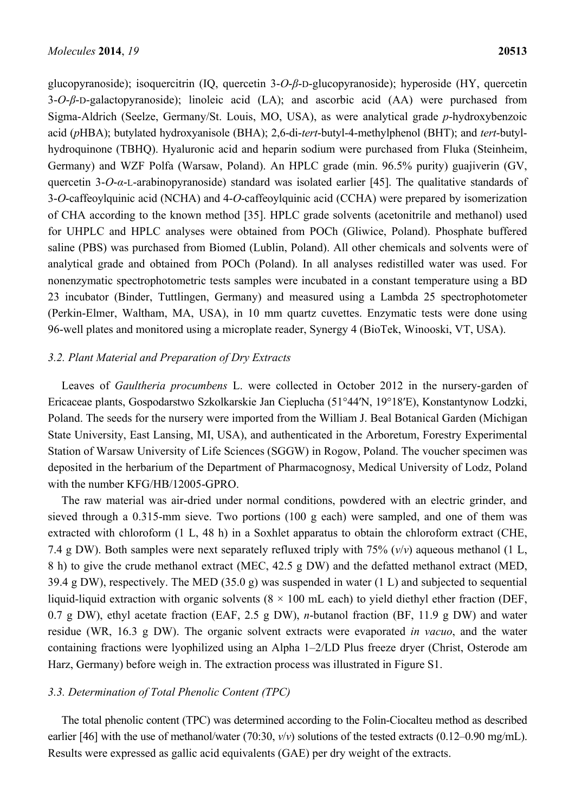glucopyranoside); isoquercitrin (IQ, quercetin 3-*O*-*β*-D-glucopyranoside); hyperoside (HY, quercetin 3-*O*-*β*-D-galactopyranoside); linoleic acid (LA); and ascorbic acid (AA) were purchased from Sigma-Aldrich (Seelze, Germany/St. Louis, MO, USA), as were analytical grade *p*-hydroxybenzoic acid (*p*HBA); butylated hydroxyanisole (BHA); 2,6-di-*tert*-butyl-4-methylphenol (BHT); and *tert*-butylhydroquinone (TBHQ). Hyaluronic acid and heparin sodium were purchased from Fluka (Steinheim, Germany) and WZF Polfa (Warsaw, Poland). An HPLC grade (min. 96.5% purity) guajiverin (GV, quercetin 3-*O*-*α*-L-arabinopyranoside) standard was isolated earlier [45]. The qualitative standards of 3-*O*-caffeoylquinic acid (NCHA) and 4-*O*-caffeoylquinic acid (CCHA) were prepared by isomerization of CHA according to the known method [35]. HPLC grade solvents (acetonitrile and methanol) used for UHPLC and HPLC analyses were obtained from POCh (Gliwice, Poland). Phosphate buffered saline (PBS) was purchased from Biomed (Lublin, Poland). All other chemicals and solvents were of analytical grade and obtained from POCh (Poland). In all analyses redistilled water was used. For nonenzymatic spectrophotometric tests samples were incubated in a constant temperature using a BD 23 incubator (Binder, Tuttlingen, Germany) and measured using a Lambda 25 spectrophotometer (Perkin-Elmer, Waltham, MA, USA), in 10 mm quartz cuvettes. Enzymatic tests were done using 96-well plates and monitored using a microplate reader, Synergy 4 (BioTek, Winooski, VT, USA).

#### *3.2. Plant Material and Preparation of Dry Extracts*

Leaves of *Gaultheria procumbens* L. were collected in October 2012 in the nursery-garden of Ericaceae plants, Gospodarstwo Szkolkarskie Jan Cieplucha (51°44ʹN, 19°18ʹE), Konstantynow Lodzki, Poland. The seeds for the nursery were imported from the William J. Beal Botanical Garden (Michigan State University, East Lansing, MI, USA), and authenticated in the Arboretum, Forestry Experimental Station of Warsaw University of Life Sciences (SGGW) in Rogow, Poland. The voucher specimen was deposited in the herbarium of the Department of Pharmacognosy, Medical University of Lodz, Poland with the number KFG/HB/12005-GPRO.

The raw material was air-dried under normal conditions, powdered with an electric grinder, and sieved through a 0.315-mm sieve. Two portions (100 g each) were sampled, and one of them was extracted with chloroform (1 L, 48 h) in a Soxhlet apparatus to obtain the chloroform extract (CHE, 7.4 g DW). Both samples were next separately refluxed triply with 75% (*v*/*v*) aqueous methanol (1 L, 8 h) to give the crude methanol extract (MEC, 42.5 g DW) and the defatted methanol extract (MED, 39.4 g DW), respectively. The MED (35.0 g) was suspended in water (1 L) and subjected to sequential liquid-liquid extraction with organic solvents ( $8 \times 100$  mL each) to yield diethyl ether fraction (DEF, 0.7 g DW), ethyl acetate fraction (EAF, 2.5 g DW), *n*-butanol fraction (BF, 11.9 g DW) and water residue (WR, 16.3 g DW). The organic solvent extracts were evaporated *in vacuo*, and the water containing fractions were lyophilized using an Alpha 1–2/LD Plus freeze dryer (Christ, Osterode am Harz, Germany) before weigh in. The extraction process was illustrated in Figure S1.

# *3.3. Determination of Total Phenolic Content (TPC)*

The total phenolic content (TPC) was determined according to the Folin-Ciocalteu method as described earlier [46] with the use of methanol/water (70:30,  $v/v$ ) solutions of the tested extracts (0.12–0.90 mg/mL). Results were expressed as gallic acid equivalents (GAE) per dry weight of the extracts.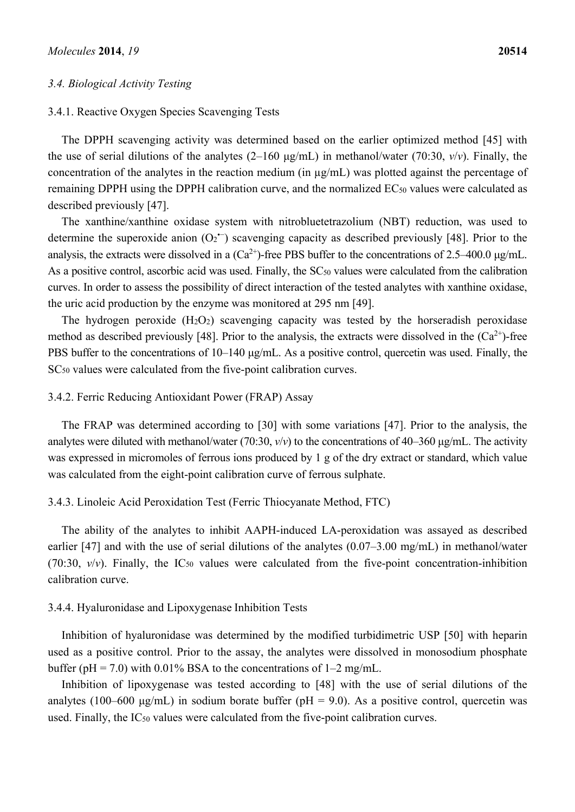### *3.4. Biological Activity Testing*

# 3.4.1. Reactive Oxygen Species Scavenging Tests

The DPPH scavenging activity was determined based on the earlier optimized method [45] with the use of serial dilutions of the analytes (2–160 μg/mL) in methanol/water (70:30, *v*/*v*). Finally, the concentration of the analytes in the reaction medium (in µg/mL) was plotted against the percentage of remaining DPPH using the DPPH calibration curve, and the normalized EC<sub>50</sub> values were calculated as described previously [47].

The xanthine/xanthine oxidase system with nitrobluetetrazolium (NBT) reduction, was used to determine the superoxide anion  $(O_2^{\bullet})$  scavenging capacity as described previously [48]. Prior to the analysis, the extracts were dissolved in a  $(Ca^{2+})$ -free PBS buffer to the concentrations of 2.5–400.0 μg/mL. As a positive control, ascorbic acid was used. Finally, the SC<sub>50</sub> values were calculated from the calibration curves. In order to assess the possibility of direct interaction of the tested analytes with xanthine oxidase, the uric acid production by the enzyme was monitored at 295 nm [49].

The hydrogen peroxide  $(H_2O_2)$  scavenging capacity was tested by the horseradish peroxidase method as described previously [48]. Prior to the analysis, the extracts were dissolved in the  $(Ca^{2+})$ -free PBS buffer to the concentrations of 10–140 μg/mL. As a positive control, quercetin was used. Finally, the SC<sub>50</sub> values were calculated from the five-point calibration curves.

#### 3.4.2. Ferric Reducing Antioxidant Power (FRAP) Assay

The FRAP was determined according to [30] with some variations [47]. Prior to the analysis, the analytes were diluted with methanol/water (70:30, *v*/*v*) to the concentrations of 40–360 μg/mL. The activity was expressed in micromoles of ferrous ions produced by 1 g of the dry extract or standard, which value was calculated from the eight-point calibration curve of ferrous sulphate.

#### 3.4.3. Linoleic Acid Peroxidation Test (Ferric Thiocyanate Method, FTC)

The ability of the analytes to inhibit AAPH-induced LA-peroxidation was assayed as described earlier [47] and with the use of serial dilutions of the analytes (0.07–3.00 mg/mL) in methanol/water (70:30,  $v/v$ ). Finally, the IC<sub>50</sub> values were calculated from the five-point concentration-inhibition calibration curve.

#### 3.4.4. Hyaluronidase and Lipoxygenase Inhibition Tests

Inhibition of hyaluronidase was determined by the modified turbidimetric USP [50] with heparin used as a positive control. Prior to the assay, the analytes were dissolved in monosodium phosphate buffer ( $pH = 7.0$ ) with 0.01% BSA to the concentrations of 1–2 mg/mL.

Inhibition of lipoxygenase was tested according to [48] with the use of serial dilutions of the analytes (100–600 μg/mL) in sodium borate buffer ( $pH = 9.0$ ). As a positive control, quercetin was used. Finally, the IC50 values were calculated from the five-point calibration curves.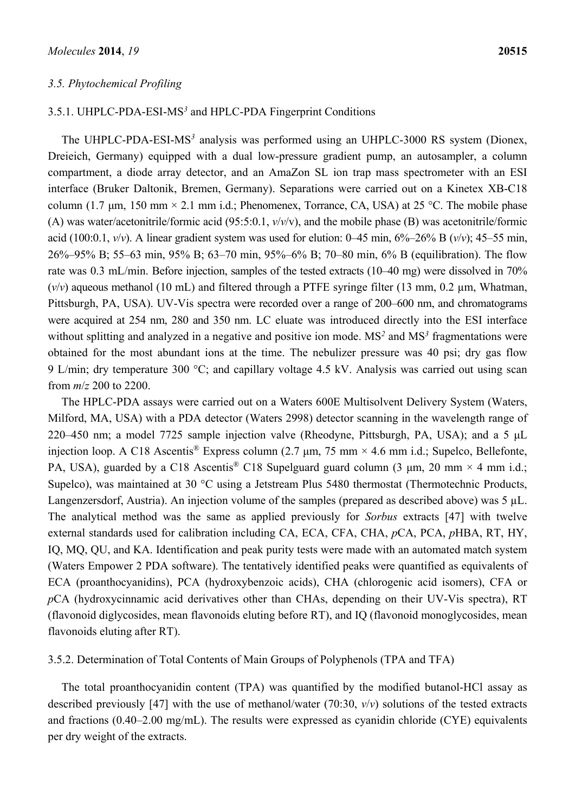#### *3.5. Phytochemical Profiling*

## 3.5.1. UHPLC-PDA-ESI-MS*<sup>3</sup>* and HPLC-PDA Fingerprint Conditions

The UHPLC-PDA-ESI-MS<sup>3</sup> analysis was performed using an UHPLC-3000 RS system (Dionex, Dreieich, Germany) equipped with a dual low-pressure gradient pump, an autosampler, a column compartment, a diode array detector, and an AmaZon SL ion trap mass spectrometer with an ESI interface (Bruker Daltonik, Bremen, Germany). Separations were carried out on a Kinetex XB-C18 column (1.7  $\mu$ m, 150 mm × 2.1 mm i.d.; Phenomenex, Torrance, CA, USA) at 25 °C. The mobile phase (A) was water/acetonitrile/formic acid (95:5:0.1, *v*/*v*/v), and the mobile phase (B) was acetonitrile/formic acid (100:0.1,  $v/v$ ). A linear gradient system was used for elution: 0–45 min,  $6\%$ –26% B  $(v/v)$ ; 45–55 min, 26%–95% B; 55–63 min, 95% B; 63–70 min, 95%–6% B; 70–80 min, 6% B (equilibration). The flow rate was 0.3 mL/min. Before injection, samples of the tested extracts (10–40 mg) were dissolved in 70%  $(v/v)$  aqueous methanol (10 mL) and filtered through a PTFE syringe filter (13 mm, 0.2  $\mu$ m, Whatman, Pittsburgh, PA, USA). UV-Vis spectra were recorded over a range of 200–600 nm, and chromatograms were acquired at 254 nm, 280 and 350 nm. LC eluate was introduced directly into the ESI interface without splitting and analyzed in a negative and positive ion mode. MS*<sup>2</sup>* and MS*<sup>3</sup>* fragmentations were obtained for the most abundant ions at the time. The nebulizer pressure was 40 psi; dry gas flow 9 L/min; dry temperature 300 °C; and capillary voltage 4.5 kV. Analysis was carried out using scan from *m*/*z* 200 to 2200.

The HPLC-PDA assays were carried out on a Waters 600E Multisolvent Delivery System (Waters, Milford, MA, USA) with a PDA detector (Waters 2998) detector scanning in the wavelength range of 220–450 nm; a model 7725 sample injection valve (Rheodyne, Pittsburgh, PA, USA); and a 5 μL injection loop. A C18 Ascentis<sup>®</sup> Express column (2.7  $\mu$ m, 75 mm × 4.6 mm i.d.; Supelco, Bellefonte, PA, USA), guarded by a C18 Ascentis<sup>®</sup> C18 Supelguard guard column (3 µm, 20 mm  $\times$  4 mm i.d.; Supelco), was maintained at 30 °C using a Jetstream Plus 5480 thermostat (Thermotechnic Products, Langenzersdorf, Austria). An injection volume of the samples (prepared as described above) was 5 µL. The analytical method was the same as applied previously for *Sorbus* extracts [47] with twelve external standards used for calibration including CA, ECA, CFA, CHA, *p*CA, PCA, *p*HBA, RT, HY, IQ, MQ, QU, and KA. Identification and peak purity tests were made with an automated match system (Waters Empower 2 PDA software). The tentatively identified peaks were quantified as equivalents of ECA (proanthocyanidins), PCA (hydroxybenzoic acids), CHA (chlorogenic acid isomers), CFA or *p*CA (hydroxycinnamic acid derivatives other than CHAs, depending on their UV-Vis spectra), RT (flavonoid diglycosides, mean flavonoids eluting before RT), and IQ (flavonoid monoglycosides, mean flavonoids eluting after RT).

3.5.2. Determination of Total Contents of Main Groups of Polyphenols (TPA and TFA)

The total proanthocyanidin content (TPA) was quantified by the modified butanol-HCl assay as described previously [47] with the use of methanol/water (70:30, *v*/*v*) solutions of the tested extracts and fractions (0.40–2.00 mg/mL). The results were expressed as cyanidin chloride (CYE) equivalents per dry weight of the extracts.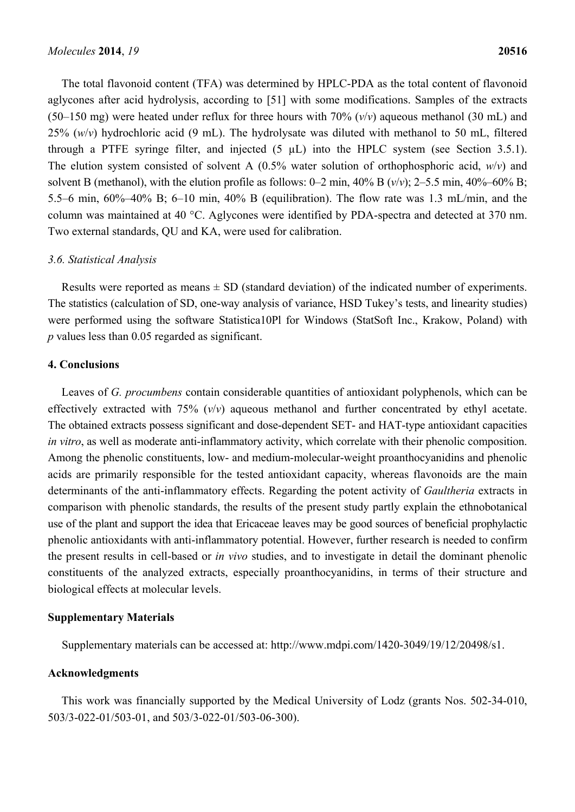The total flavonoid content (TFA) was determined by HPLC-PDA as the total content of flavonoid aglycones after acid hydrolysis, according to [51] with some modifications. Samples of the extracts (50–150 mg) were heated under reflux for three hours with  $70\%$  ( $v/v$ ) aqueous methanol (30 mL) and 25% (*w*/*v*) hydrochloric acid (9 mL). The hydrolysate was diluted with methanol to 50 mL, filtered through a PTFE syringe filter, and injected  $(5 \mu L)$  into the HPLC system (see Section 3.5.1). The elution system consisted of solvent A (0.5% water solution of orthophosphoric acid, *w*/*v*) and solvent B (methanol), with the elution profile as follows: 0–2 min, 40% B ( $v/v$ ); 2–5.5 min, 40%–60% B; 5.5–6 min, 60%–40% B; 6–10 min, 40% B (equilibration). The flow rate was 1.3 mL/min, and the column was maintained at 40 °C. Aglycones were identified by PDA-spectra and detected at 370 nm. Two external standards, QU and KA, were used for calibration.

#### *3.6. Statistical Analysis*

Results were reported as means  $\pm$  SD (standard deviation) of the indicated number of experiments. The statistics (calculation of SD, one-way analysis of variance, HSD Tukey's tests, and linearity studies) were performed using the software Statistica10Pl for Windows (StatSoft Inc., Krakow, Poland) with *p* values less than 0.05 regarded as significant.

# **4. Conclusions**

Leaves of *G. procumbens* contain considerable quantities of antioxidant polyphenols, which can be effectively extracted with 75% (*v*/*v*) aqueous methanol and further concentrated by ethyl acetate. The obtained extracts possess significant and dose-dependent SET- and HAT-type antioxidant capacities *in vitro*, as well as moderate anti-inflammatory activity, which correlate with their phenolic composition. Among the phenolic constituents, low- and medium-molecular-weight proanthocyanidins and phenolic acids are primarily responsible for the tested antioxidant capacity, whereas flavonoids are the main determinants of the anti-inflammatory effects. Regarding the potent activity of *Gaultheria* extracts in comparison with phenolic standards, the results of the present study partly explain the ethnobotanical use of the plant and support the idea that Ericaceae leaves may be good sources of beneficial prophylactic phenolic antioxidants with anti-inflammatory potential. However, further research is needed to confirm the present results in cell-based or *in vivo* studies, and to investigate in detail the dominant phenolic constituents of the analyzed extracts, especially proanthocyanidins, in terms of their structure and biological effects at molecular levels.

#### **Supplementary Materials**

Supplementary materials can be accessed at: http://www.mdpi.com/1420-3049/19/12/20498/s1.

#### **Acknowledgments**

This work was financially supported by the Medical University of Lodz (grants Nos. 502-34-010, 503/3-022-01/503-01, and 503/3-022-01/503-06-300).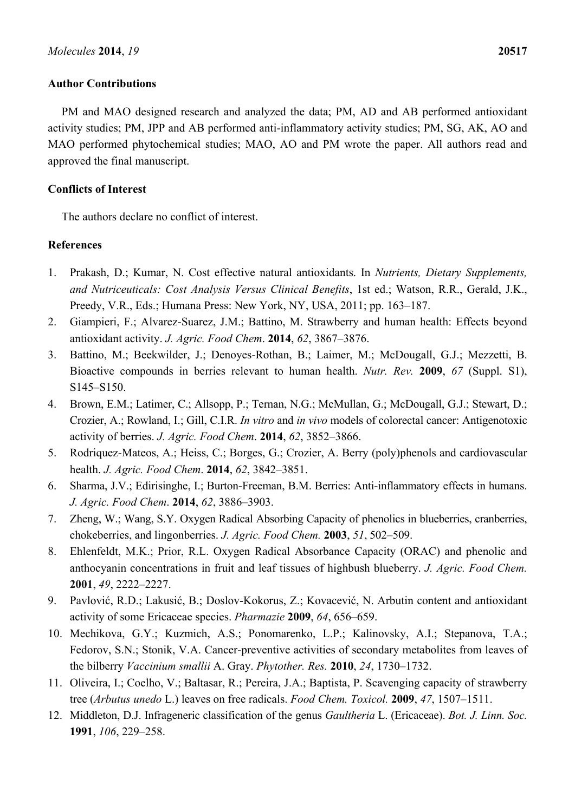# **Author Contributions**

PM and MAO designed research and analyzed the data; PM, AD and AB performed antioxidant activity studies; PM, JPP and AB performed anti-inflammatory activity studies; PM, SG, AK, AO and MAO performed phytochemical studies; MAO, AO and PM wrote the paper. All authors read and approved the final manuscript.

# **Conflicts of Interest**

The authors declare no conflict of interest.

# **References**

- 1. Prakash, D.; Kumar, N. Cost effective natural antioxidants. In *Nutrients, Dietary Supplements, and Nutriceuticals: Cost Analysis Versus Clinical Benefits*, 1st ed.; Watson, R.R., Gerald, J.K., Preedy, V.R., Eds.; Humana Press: New York, NY, USA, 2011; pp. 163–187.
- 2. Giampieri, F.; Alvarez-Suarez, J.M.; Battino, M. Strawberry and human health: Effects beyond antioxidant activity. *J. Agric. Food Chem*. **2014**, *62*, 3867–3876.
- 3. Battino, M.; Beekwilder, J.; Denoyes-Rothan, B.; Laimer, M.; McDougall, G.J.; Mezzetti, B. Bioactive compounds in berries relevant to human health. *Nutr. Rev.* **2009**, *67* (Suppl. S1), S145–S150.
- 4. Brown, E.M.; Latimer, C.; Allsopp, P.; Ternan, N.G.; McMullan, G.; McDougall, G.J.; Stewart, D.; Crozier, A.; Rowland, I.; Gill, C.I.R. *In vitro* and *in vivo* models of colorectal cancer: Antigenotoxic activity of berries. *J. Agric. Food Chem*. **2014**, *62*, 3852–3866.
- 5. Rodriquez-Mateos, A.; Heiss, C.; Borges, G.; Crozier, A. Berry (poly)phenols and cardiovascular health. *J. Agric. Food Chem*. **2014**, *62*, 3842–3851.
- 6. Sharma, J.V.; Edirisinghe, I.; Burton-Freeman, B.M. Berries: Anti-inflammatory effects in humans. *J. Agric. Food Chem*. **2014**, *62*, 3886–3903.
- 7. Zheng, W.; Wang, S.Y. Oxygen Radical Absorbing Capacity of phenolics in blueberries, cranberries, chokeberries, and lingonberries. *J. Agric. Food Chem.* **2003**, *51*, 502–509.
- 8. Ehlenfeldt, M.K.; Prior, R.L. Oxygen Radical Absorbance Capacity (ORAC) and phenolic and anthocyanin concentrations in fruit and leaf tissues of highbush blueberry. *J. Agric. Food Chem.* **2001**, *49*, 2222–2227.
- 9. Pavlović, R.D.; Lakusić, B.; Doslov-Kokorus, Z.; Kovacević, N. Arbutin content and antioxidant activity of some Ericaceae species. *Pharmazie* **2009**, *64*, 656–659.
- 10. Mechikova, G.Y.; Kuzmich, A.S.; Ponomarenko, L.P.; Kalinovsky, A.I.; Stepanova, T.A.; Fedorov, S.N.; Stonik, V.A. Cancer-preventive activities of secondary metabolites from leaves of the bilberry *Vaccinium smallii* A. Gray. *Phytother. Res.* **2010**, *24*, 1730–1732.
- 11. Oliveira, I.; Coelho, V.; Baltasar, R.; Pereira, J.A.; Baptista, P. Scavenging capacity of strawberry tree (*Arbutus unedo* L.) leaves on free radicals. *Food Chem. Toxicol.* **2009**, *47*, 1507–1511.
- 12. Middleton, D.J. Infrageneric classification of the genus *Gaultheria* L. (Ericaceae). *Bot. J. Linn. Soc.*  **1991**, *106*, 229–258.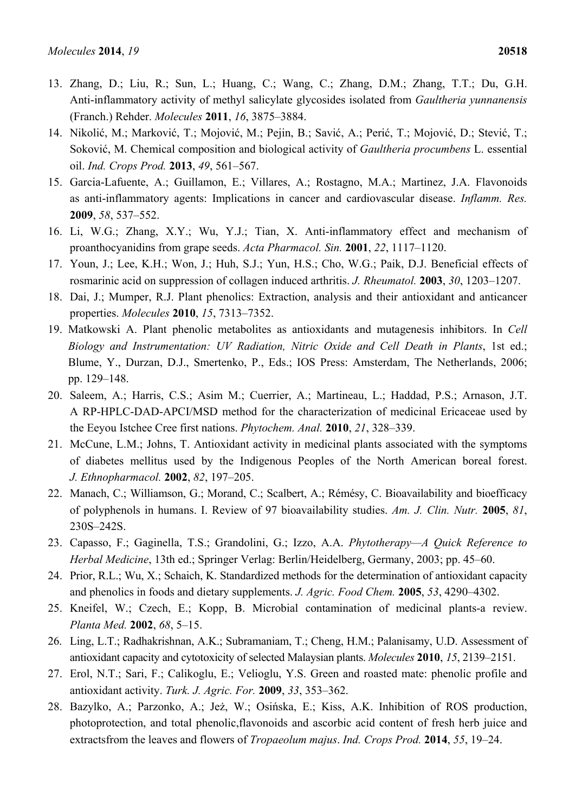- 13. Zhang, D.; Liu, R.; Sun, L.; Huang, C.; Wang, C.; Zhang, D.M.; Zhang, T.T.; Du, G.H. Anti-inflammatory activity of methyl salicylate glycosides isolated from *Gaultheria yunnanensis* (Franch.) Rehder. *Molecules* **2011**, *16*, 3875–3884.
- 14. Nikolić, M.; Marković, T.; Mojović, M.; Pejin, B.; Savić, A.; Perić, T.; Mojović, D.; Stević, T.; Soković, M. Chemical composition and biological activity of *Gaultheria procumbens* L. essential oil. *Ind. Crops Prod.* **2013**, *49*, 561–567.
- 15. Garcia-Lafuente, A.; Guillamon, E.; Villares, A.; Rostagno, M.A.; Martinez, J.A. Flavonoids as anti-inflammatory agents: Implications in cancer and cardiovascular disease. *Inflamm. Res.* **2009**, *58*, 537–552.
- 16. Li, W.G.; Zhang, X.Y.; Wu, Y.J.; Tian, X. Anti-inflammatory effect and mechanism of proanthocyanidins from grape seeds. *Acta Pharmacol. Sin.* **2001**, *22*, 1117–1120.
- 17. Youn, J.; Lee, K.H.; Won, J.; Huh, S.J.; Yun, H.S.; Cho, W.G.; Paik, D.J. Beneficial effects of rosmarinic acid on suppression of collagen induced arthritis. *J. Rheumatol.* **2003**, *30*, 1203–1207.
- 18. Dai, J.; Mumper, R.J. Plant phenolics: Extraction, analysis and their antioxidant and anticancer properties. *Molecules* **2010**, *15*, 7313–7352.
- 19. Matkowski A. Plant phenolic metabolites as antioxidants and mutagenesis inhibitors. In *Cell Biology and Instrumentation: UV Radiation, Nitric Oxide and Cell Death in Plants*, 1st ed.; Blume, Y., Durzan, D.J., Smertenko, P., Eds.; IOS Press: Amsterdam, The Netherlands, 2006; pp. 129–148.
- 20. Saleem, A.; Harris, C.S.; Asim M.; Cuerrier, A.; Martineau, L.; Haddad, P.S.; Arnason, J.T. A RP-HPLC-DAD-APCI/MSD method for the characterization of medicinal Ericaceae used by the Eeyou Istchee Cree first nations. *Phytochem. Anal.* **2010**, *21*, 328–339.
- 21. McCune, L.M.; Johns, T. Antioxidant activity in medicinal plants associated with the symptoms of diabetes mellitus used by the Indigenous Peoples of the North American boreal forest. *J. Ethnopharmacol.* **2002**, *82*, 197–205.
- 22. Manach, C.; Williamson, G.; Morand, C.; Scalbert, A.; Rémésy, C. Bioavailability and bioefficacy of polyphenols in humans. I. Review of 97 bioavailability studies. *Am. J. Clin. Nutr.* **2005**, *81*, 230S–242S.
- 23. Capasso, F.; Gaginella, T.S.; Grandolini, G.; Izzo, A.A. *Phytotherapy—A Quick Reference to Herbal Medicine*, 13th ed.; Springer Verlag: Berlin/Heidelberg, Germany, 2003; pp. 45–60.
- 24. Prior, R.L.; Wu, X.; Schaich, K. Standardized methods for the determination of antioxidant capacity and phenolics in foods and dietary supplements. *J. Agric. Food Chem.* **2005**, *53*, 4290–4302.
- 25. Kneifel, W.; Czech, E.; Kopp, B. Microbial contamination of medicinal plants-a review. *Planta Med.* **2002**, *68*, 5–15.
- 26. Ling, L.T.; Radhakrishnan, A.K.; Subramaniam, T.; Cheng, H.M.; Palanisamy, U.D. Assessment of antioxidant capacity and cytotoxicity of selected Malaysian plants. *Molecules* **2010**, *15*, 2139–2151.
- 27. Erol, N.T.; Sari, F.; Calikoglu, E.; Velioglu, Y.S. Green and roasted mate: phenolic profile and antioxidant activity. *Turk. J. Agric. For.* **2009**, *33*, 353–362.
- 28. Bazylko, A.; Parzonko, A.; Jeż, W.; Osińska, E.; Kiss, A.K. Inhibition of ROS production, photoprotection, and total phenolic,flavonoids and ascorbic acid content of fresh herb juice and extractsfrom the leaves and flowers of *Tropaeolum majus*. *Ind. Crops Prod.* **2014**, *55*, 19–24.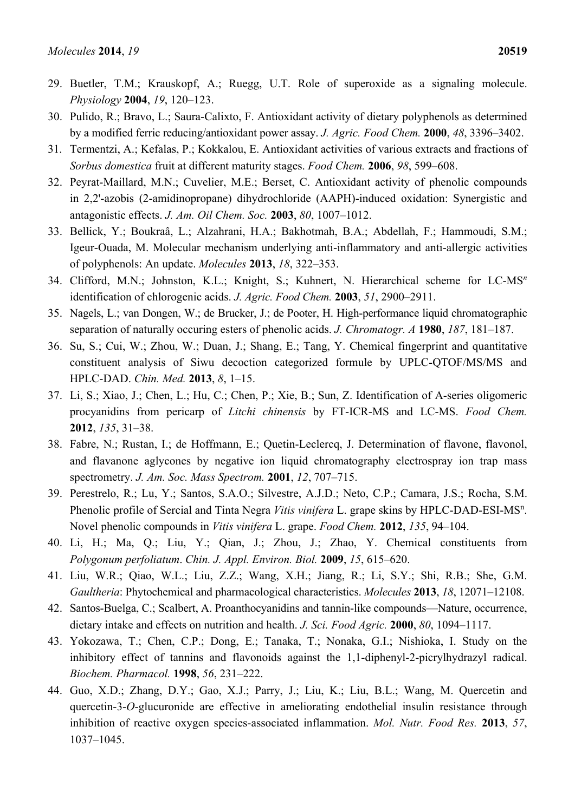- 29. Buetler, T.M.; Krauskopf, A.; Ruegg, U.T. Role of superoxide as a signaling molecule. *Physiology* **2004**, *19*, 120–123.
- 30. Pulido, R.; Bravo, L.; Saura-Calixto, F. Antioxidant activity of dietary polyphenols as determined by a modified ferric reducing/antioxidant power assay. *J. Agric. Food Chem.* **2000**, *48*, 3396–3402.
- 31. Termentzi, A.; Kefalas, P.; Kokkalou, E. Antioxidant activities of various extracts and fractions of *Sorbus domestica* fruit at different maturity stages. *Food Chem.* **2006**, *98*, 599–608.
- 32. Peyrat-Maillard, M.N.; Cuvelier, M.E.; Berset, C. Antioxidant activity of phenolic compounds in 2,2'-azobis (2-amidinopropane) dihydrochloride (AAPH)-induced oxidation: Synergistic and antagonistic effects. *J. Am. Oil Chem. Soc.* **2003**, *80*, 1007–1012.
- 33. Bellick, Y.; Boukraâ, L.; Alzahrani, H.A.; Bakhotmah, B.A.; Abdellah, F.; Hammoudi, S.M.; Igeur-Ouada, M. Molecular mechanism underlying anti-inflammatory and anti-allergic activities of polyphenols: An update. *Molecules* **2013**, *18*, 322–353.
- 34. Clifford, M.N.; Johnston, K.L.; Knight, S.; Kuhnert, N. Hierarchical scheme for LC-MS*<sup>n</sup>* identification of chlorogenic acids. *J. Agric. Food Chem.* **2003**, *51*, 2900–2911.
- 35. Nagels, L.; van Dongen, W.; de Brucker, J.; de Pooter, H. High-performance liquid chromatographic separation of naturally occuring esters of phenolic acids. *J. Chromatogr. A* **1980**, *187*, 181–187.
- 36. Su, S.; Cui, W.; Zhou, W.; Duan, J.; Shang, E.; Tang, Y. Chemical fingerprint and quantitative constituent analysis of Siwu decoction categorized formule by UPLC-QTOF/MS/MS and HPLC-DAD. *Chin. Med.* **2013**, *8*, 1–15.
- 37. Li, S.; Xiao, J.; Chen, L.; Hu, C.; Chen, P.; Xie, B.; Sun, Z. Identification of A-series oligomeric procyanidins from pericarp of *Litchi chinensis* by FT-ICR-MS and LC-MS. *Food Chem.*  **2012**, *135*, 31–38.
- 38. Fabre, N.; Rustan, I.; de Hoffmann, E.; Quetin-Leclercq, J. Determination of flavone, flavonol, and flavanone aglycones by negative ion liquid chromatography electrospray ion trap mass spectrometry. *J. Am. Soc. Mass Spectrom.* **2001**, *12*, 707–715.
- 39. Perestrelo, R.; Lu, Y.; Santos, S.A.O.; Silvestre, A.J.D.; Neto, C.P.; Camara, J.S.; Rocha, S.M. Phenolic profile of Sercial and Tinta Negra Vitis vinifera L. grape skins by HPLC-DAD-ESI-MS<sup>n</sup>. Novel phenolic compounds in *Vitis vinifera* L. grape. *Food Chem.* **2012**, *135*, 94–104.
- 40. Li, H.; Ma, Q.; Liu, Y.; Qian, J.; Zhou, J.; Zhao, Y. Chemical constituents from *Polygonum perfoliatum*. *Chin. J. Appl. Environ. Biol.* **2009**, *15*, 615–620.
- 41. Liu, W.R.; Qiao, W.L.; Liu, Z.Z.; Wang, X.H.; Jiang, R.; Li, S.Y.; Shi, R.B.; She, G.M. *Gaultheria*: Phytochemical and pharmacological characteristics. *Molecules* **2013**, *18*, 12071–12108.
- 42. Santos-Buelga, C.; Scalbert, A. Proanthocyanidins and tannin-like compounds—Nature, occurrence, dietary intake and effects on nutrition and health. *J. Sci. Food Agric.* **2000**, *80*, 1094–1117.
- 43. Yokozawa, T.; Chen, C.P.; Dong, E.; Tanaka, T.; Nonaka, G.I.; Nishioka, I. Study on the inhibitory effect of tannins and flavonoids against the 1,1-diphenyl-2-picrylhydrazyl radical. *Biochem. Pharmacol.* **1998**, *56*, 231–222.
- 44. Guo, X.D.; Zhang, D.Y.; Gao, X.J.; Parry, J.; Liu, K.; Liu, B.L.; Wang, M. Quercetin and quercetin-3-*O*-glucuronide are effective in ameliorating endothelial insulin resistance through inhibition of reactive oxygen species-associated inflammation. *Mol. Nutr. Food Res.* **2013**, *57*, 1037–1045.